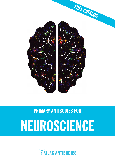

# PRIMARY ANTIBODIES FOR NEUROSCIENCE

**TATLAS ANTIBODIES**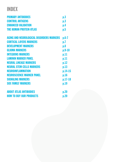### INDEX

| <b>PRIMARY ANTIBODIES</b>                       | p.3       |
|-------------------------------------------------|-----------|
| <b>CONTROL ANTIGENS</b>                         | p.3       |
| <b>ENHANCED VALIDATION</b>                      | p.4       |
| <b><i>THE HUMAN PROTEIN ATLAS</i></b>           | p.5       |
| <b>AGING AND NEUROLOGICAL DISORDERS MARKERS</b> | $p.6-7$   |
| <b>CORTICAL LAYERS MARKERS</b>                  | p.7       |
| <b>DEVELOPMENT MARKERS</b>                      | p.8       |
| <b>GLIOMA MARKERS</b>                           | $p.9-10$  |
| <b>INTEGRINS MARKERS</b>                        | p.11      |
| <b>LAMININ MARKER PANEL</b>                     | p.11      |
| <b>NEURAL LINEAGE MARKERS</b>                   | p.12      |
| <b>NEURAL STEM CELLS MARKERS</b>                | p.13      |
| <b>NEUROINFLAMMATION</b>                        | p.14-15   |
| <b>NEUROSCIENCE MARKER PANEL</b>                | p.16      |
| <b>SIGNALING MARKERS</b>                        | $p.17-18$ |
| <b>SOX FAMILY MARKERS</b>                       | p.19      |
| <b>ABOUT ATLAS ANTIBODIES</b>                   | p.20      |
| <b>HOW TO BUY OUR PRODUCTS</b>                  | p.20      |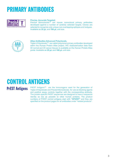# PRIMARY ANTIBODIES



#### **Precise. Accurate.Targeted.**

PrecisA Monoclonals™ are mouse monoclonal primary antibodies developed against a number of carefully selected targets. Clones are selected to recognize only unique non-overlapping epitopes and isotypes. Available as **25 µL** and **100 µL** unit size.



#### **Atlas Antibodies Advanced Polyclonals.**

Triple A Polyclonals™ are rabbit polyclonal primary antibodies developed within the Human Protein Atlas project. IHC characterization data from 44 normal and 20 cancer tissues is available on the Human Protein Atlas portal. Available as **25 µL** and **100 µL** unit size.

# CONTROL ANTIGENS

### **PrEST Antigens**

PrEST Antigens<sup>™</sup> are the immunogens used for the generation of Triple A Polyclonals and PrecisA Monoclonals, for use as blocking agents and positive assay controls together with the corresponding antibody. The protein-specific PrEST sequences are designed to have a sequence identity as low as possible to other human proteins. The product numbers of PrEST control antigens start with **"APrEST"** and they are specified on the product pages for all antibodies under "related products".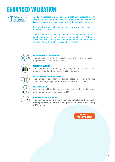# ENHANCED VALIDATION



At Atlas Antibodies, we extensively validate our antibodies in IHC, WB, and ICC-IF. Enhanced Validation is performed as an additional layer of security in an application and context-specific manner.

Enhanced validation offers increased security of antibody specificity in a defined context.

This is ensured by using the ideal validation method for each combination of protein, sample, and application. Enhanced Validation follows the guidelines proposed by the International Working Group for Antibody Validation (IWGAV).





#### RECOMBINANT EXPRESSION VALIDATION

The antibody binding is verified using and over-expressed or tagged version of the target protein.

#### ORTHOGONAL VALIDATION

The antibody is validated by comparing the results with a nonantibody based method across multiple samples.



#### VALIDATION BY INDEPENDENT ANTIBODIES

The antibody specificity is demonstrated by comparing two antibodies targeting different regions of the same protein.

#### GENETIC VALIDATION

Antibody specificity is confirmed by downregulating the target protein on a genetic level using siRNA.

### MIGRATION CAPTURE MS VALIDATION

The staining pattern and the protein size detected by the antibody is compared with results obtained by a capture Mass Spectrometry (MS) method.

> LEARN MORE ABOUT [ENHANCED VALIDATION](https://www.atlasantibodies.com/antibody-applications/antibody-validation/enhanced-validation/)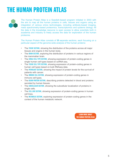# THE HUMAN PROTEIN ATLAS



The Human Protein Atlas is a Swedish-based program initiated in 2003 with the aim to map all the human proteins in cells, tissues and organs using an integration of various omics technologies, including antibody-based imaging, mass spectrometry-based proteomics, transcriptomics and systems biology. All the data in the knowledge resource is open access to allow scientists both in academia and industry to freely access the data for exploration of the human proteome.

The Human Protein Atlas consists of 10 separate sections, each focusing on a particular aspect of the genome-wide analysis of the human proteins:

- The **TISSUE SECTION**, showing the distribution of the proteins across all major tissues and organs in the human body.
- The **BRAIN SECTION**, exploring the distribution of proteins in various regions of the mammalian brain.
- The **SINGLE CELL TYPE SECTION**, showing expression of protein-coding genes in single human cell types based on scRNA-seq.
- The **TISSUE CELL TYPE SECTION**, showing expression of protein-coding genes in human cell types based on bulk RNAseq data.
- The PATHOLOGY SECTION, showing the impact of protein levels for the survival of patients with cancer.
- The **IMMUNE CELL SECTION**, showing expression of protein-coding genes in immune cell types.
- The **BLOOD PROTEIN SECTION**, describing proteins detected in blood and proteins secreted by human tissues.
- The **SUBCELLULAR SECTION**, showing the subcellular localization of proteins in single cells.
- The **CELL LINE SECTION**, showing expression of protein-coding genes in human cell lines.
- The **METABOLIC SECTION**, exploring expression of protein-coding genes in the context of the human metabolic network.

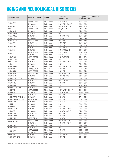### AGING AND NEUROLOGICAL DISORDERS

| Monoclonal<br>IHC, WB*, ICC-IF<br>86% - 85%<br>AMAb90535<br>Anti-ADAR<br>Polyclonal<br>86% - 85%<br>HPA003890<br>IHC*, WB*, ICC-IF<br>Anti-AIMP1<br>Polyclonal<br>$96\% - 97\%$<br>HPA018476<br>IHC, WB*, ICC-IF<br>Monoclonal<br>WB, ICC-IF<br>$97\% - 97\%$<br>Anti-AKT1<br>AMAb90834<br>IHC*<br>Anti-AOX1<br>Polyclonal<br>84% - 86%<br>HPA040199<br><b>IHC</b><br>70% - 68%<br>Anti-APBA3<br>Polyclonal<br>HPA045577<br>Polyclonal<br>IHC, WB*, ICC-IF<br>85% - 83%<br>Anti-APBB2<br>HPA023542<br>Polyclonal<br>84% - 84%<br>Anti-APBB3<br>HPA005571<br>IHC, ICC-IF<br>Monoclonal<br>65% - 28%<br>Anti-APOA4<br>AMAb90769<br>IHC, WB<br>Anti-APP<br>Polyclonal<br>IHC*, WB*<br>$95\% - 95\%$<br>HPA001462<br>Monoclonal<br>AMAb90537<br>IHC*, WB<br>$93\% - 92\%$<br>Anti-AQP4<br>$93\% - 92\%$<br>HPA014784<br>Polyclonal<br>IHC*, WB, ICC-IF<br>99% - 99%<br>Anti-ATF2<br>HPA022134<br>Polyclonal<br>IHC, WB, ICC-IF<br>Monoclonal<br>$92\% - 92\%$<br>AMAb90909<br>IHC*, ICC-IF<br>Anti-ATF3<br>$92\% - 92\%$<br>Polyclonal<br>IHC, ICC-IF<br>HPA001562<br>Monoclonal<br>$96\% - 97\%$<br>IHC, WB*, ICC-IF<br>Anti-ATRX<br>AMAb90784<br><b>IHC</b><br>$81\% - 81\%$<br>Anti-ATXN1<br>Polyclonal<br>HPA008335<br>Polyclonal<br>IHC*, WB*, ICC-IF<br>$90\% - 91\%$<br>Anti-ATXN2<br>HPA018295<br>Anti-C3<br>IHC*<br>78% - 23%<br>HPA020432<br>Polyclonal<br>84% - 88%<br>Anti-CASP3<br>Polyclonal<br>IHC*, WB, ICC-IF<br>HPA002643<br>IHC*, WB<br>55% - 57%<br>Anti-CD4<br>Monoclonal<br>AMAb90754<br>IHC*,WB<br>58% - 54%<br>Anti-CD40<br>Monoclonal<br>AMAb90905<br>Anti-CHGA<br>Monoclonal<br>IHC, WB, ICC-IF<br>$62\% - 64\%$<br>AMAb90525<br>$93\% - 90\%$<br>Anti-COX1<br>Polyclonal<br>IHC*, WB, ICC-IF<br>HPA002834<br>88% - 88%<br>Anti-COX2/PTGS2<br>Polyclonal<br>IHC, ICC-IF<br>HPA001335<br>Anti-CTSB<br>79% - 79%<br>Polyclonal<br>IHC*, ICC-IF<br>HPA018156<br>86% - 86%<br>Anti-CTSD<br>Polyclonal<br>IHC, WB<br>HPA003001<br><b>IHC</b><br>47% - 46%<br>Anti-CXorf27<br>Polyclonal<br>HPA003356<br><b>IHC</b><br>Polyclonal<br>78% - 81%<br>Anti-FBXO7 (PARK15)<br>HPA032114<br>Monoclonal<br>Anti-FUS<br>IHC*, WB*, ICC-IF,<br>$91\% - 91\%$<br>AMAb90549<br>Anti-GSK3B<br>Polyclonal<br>IHC, WB*, ICC-IF<br>100% - 100%<br>HPA028017<br>Anti-HIP1<br>Polyclonal<br>IHC*, WB<br>79% - 77%<br>HPA017964<br>Polyclonal<br>57% - 63%<br>Anti-HTRA2 (PARK13)<br>HPA027366<br>IHC, WB*<br>$67\% - 68\%$<br>Monoclonal<br>Anti-ITGAM (CD11b)<br>IHC*, WB<br>AMAb90911<br>Anti-ITM2B<br>HPA029292<br>Polyclonal<br>IHC, ICC-IF<br>$95\% - 96\%$<br>IHC*<br>Polyclonal<br>78% - 36%<br>Anti-LRP2<br>HPA005980<br>Anti-MSR1<br>HPA000272<br>Polyclonal<br>IHC*, WB*<br>$60\% - 59\%$<br>Anti-NFKB1<br>HPA027305<br>Polyclonal<br>IHC*, WB*, ICC-IF<br>$60\% - 62\%$<br>Anti-OPTN<br>Polyclonal<br>IHC, WB*, ICC-IF<br>64% - 68%<br>HPA003360<br>Anti-PADI4<br>Polyclonal<br>IHC*, WB*<br>66% - 69%<br>HPA017007<br>Anti-PARK7<br>Polyclonal<br>89% - 90%<br>HPA004190<br>IHC, WB<br>Anti-PFN1<br>Monoclonal<br>IHC, WB*<br>$87\% - 87\%$<br>AMAb91181<br>Monoclonal<br>IHC, WB, ICC-IF<br>99% - 99%<br>AMAb90786<br>Anti-PHGDH<br>Polyclonal<br>99% - 99%<br>HPA021241<br>IHC, WB*, ICC-IF<br>IHC*<br>Anti-PRNP<br>Polyclonal<br>$91\% - 91\%$<br>HPA042754<br><b>IHC</b><br>$82\% - 81\%$<br>Polyclonal<br>Anti-PSEN1<br>HPA030760<br>Monoclonal<br>IHC, WB<br>100% - 100%<br>AMAb90852<br>Anti-RHOT1<br><b>IHC</b><br>Polyclonal<br>100% - 100%<br>HPA010687<br>56% - 60%<br>Anti-S100A8<br>Polyclonal<br>IHC*, WB, ICC-IF<br>HPA024372<br>IHC*, WB<br>$60\% - 59\%$<br>Anti-SERPINA3<br>Polyclonal<br>HPA002560 | <b>Product Name</b> | <b>Product Number</b> | Clonality | Validated<br>Applications | Antigen sequence identity<br>to mouse - rat |
|----------------------------------------------------------------------------------------------------------------------------------------------------------------------------------------------------------------------------------------------------------------------------------------------------------------------------------------------------------------------------------------------------------------------------------------------------------------------------------------------------------------------------------------------------------------------------------------------------------------------------------------------------------------------------------------------------------------------------------------------------------------------------------------------------------------------------------------------------------------------------------------------------------------------------------------------------------------------------------------------------------------------------------------------------------------------------------------------------------------------------------------------------------------------------------------------------------------------------------------------------------------------------------------------------------------------------------------------------------------------------------------------------------------------------------------------------------------------------------------------------------------------------------------------------------------------------------------------------------------------------------------------------------------------------------------------------------------------------------------------------------------------------------------------------------------------------------------------------------------------------------------------------------------------------------------------------------------------------------------------------------------------------------------------------------------------------------------------------------------------------------------------------------------------------------------------------------------------------------------------------------------------------------------------------------------------------------------------------------------------------------------------------------------------------------------------------------------------------------------------------------------------------------------------------------------------------------------------------------------------------------------------------------------------------------------------------------------------------------------------------------------------------------------------------------------------------------------------------------------------------------------------------------------------------------------------------------------------------------------------------------------------------------------------------------------------------------------------------------------------------------------------------------------------------------------------------------------------------------------------------------------------------------------------------------------------------------------------------------------------------------------------------------------------------------------------------------------------------------------------------------------------------------------------------------------------------------------------------------------------------------|---------------------|-----------------------|-----------|---------------------------|---------------------------------------------|
|                                                                                                                                                                                                                                                                                                                                                                                                                                                                                                                                                                                                                                                                                                                                                                                                                                                                                                                                                                                                                                                                                                                                                                                                                                                                                                                                                                                                                                                                                                                                                                                                                                                                                                                                                                                                                                                                                                                                                                                                                                                                                                                                                                                                                                                                                                                                                                                                                                                                                                                                                                                                                                                                                                                                                                                                                                                                                                                                                                                                                                                                                                                                                                                                                                                                                                                                                                                                                                                                                                                                                                                                                                  |                     |                       |           |                           |                                             |
|                                                                                                                                                                                                                                                                                                                                                                                                                                                                                                                                                                                                                                                                                                                                                                                                                                                                                                                                                                                                                                                                                                                                                                                                                                                                                                                                                                                                                                                                                                                                                                                                                                                                                                                                                                                                                                                                                                                                                                                                                                                                                                                                                                                                                                                                                                                                                                                                                                                                                                                                                                                                                                                                                                                                                                                                                                                                                                                                                                                                                                                                                                                                                                                                                                                                                                                                                                                                                                                                                                                                                                                                                                  |                     |                       |           |                           |                                             |
|                                                                                                                                                                                                                                                                                                                                                                                                                                                                                                                                                                                                                                                                                                                                                                                                                                                                                                                                                                                                                                                                                                                                                                                                                                                                                                                                                                                                                                                                                                                                                                                                                                                                                                                                                                                                                                                                                                                                                                                                                                                                                                                                                                                                                                                                                                                                                                                                                                                                                                                                                                                                                                                                                                                                                                                                                                                                                                                                                                                                                                                                                                                                                                                                                                                                                                                                                                                                                                                                                                                                                                                                                                  |                     |                       |           |                           |                                             |
|                                                                                                                                                                                                                                                                                                                                                                                                                                                                                                                                                                                                                                                                                                                                                                                                                                                                                                                                                                                                                                                                                                                                                                                                                                                                                                                                                                                                                                                                                                                                                                                                                                                                                                                                                                                                                                                                                                                                                                                                                                                                                                                                                                                                                                                                                                                                                                                                                                                                                                                                                                                                                                                                                                                                                                                                                                                                                                                                                                                                                                                                                                                                                                                                                                                                                                                                                                                                                                                                                                                                                                                                                                  |                     |                       |           |                           |                                             |
|                                                                                                                                                                                                                                                                                                                                                                                                                                                                                                                                                                                                                                                                                                                                                                                                                                                                                                                                                                                                                                                                                                                                                                                                                                                                                                                                                                                                                                                                                                                                                                                                                                                                                                                                                                                                                                                                                                                                                                                                                                                                                                                                                                                                                                                                                                                                                                                                                                                                                                                                                                                                                                                                                                                                                                                                                                                                                                                                                                                                                                                                                                                                                                                                                                                                                                                                                                                                                                                                                                                                                                                                                                  |                     |                       |           |                           |                                             |
|                                                                                                                                                                                                                                                                                                                                                                                                                                                                                                                                                                                                                                                                                                                                                                                                                                                                                                                                                                                                                                                                                                                                                                                                                                                                                                                                                                                                                                                                                                                                                                                                                                                                                                                                                                                                                                                                                                                                                                                                                                                                                                                                                                                                                                                                                                                                                                                                                                                                                                                                                                                                                                                                                                                                                                                                                                                                                                                                                                                                                                                                                                                                                                                                                                                                                                                                                                                                                                                                                                                                                                                                                                  |                     |                       |           |                           |                                             |
|                                                                                                                                                                                                                                                                                                                                                                                                                                                                                                                                                                                                                                                                                                                                                                                                                                                                                                                                                                                                                                                                                                                                                                                                                                                                                                                                                                                                                                                                                                                                                                                                                                                                                                                                                                                                                                                                                                                                                                                                                                                                                                                                                                                                                                                                                                                                                                                                                                                                                                                                                                                                                                                                                                                                                                                                                                                                                                                                                                                                                                                                                                                                                                                                                                                                                                                                                                                                                                                                                                                                                                                                                                  |                     |                       |           |                           |                                             |
|                                                                                                                                                                                                                                                                                                                                                                                                                                                                                                                                                                                                                                                                                                                                                                                                                                                                                                                                                                                                                                                                                                                                                                                                                                                                                                                                                                                                                                                                                                                                                                                                                                                                                                                                                                                                                                                                                                                                                                                                                                                                                                                                                                                                                                                                                                                                                                                                                                                                                                                                                                                                                                                                                                                                                                                                                                                                                                                                                                                                                                                                                                                                                                                                                                                                                                                                                                                                                                                                                                                                                                                                                                  |                     |                       |           |                           |                                             |
|                                                                                                                                                                                                                                                                                                                                                                                                                                                                                                                                                                                                                                                                                                                                                                                                                                                                                                                                                                                                                                                                                                                                                                                                                                                                                                                                                                                                                                                                                                                                                                                                                                                                                                                                                                                                                                                                                                                                                                                                                                                                                                                                                                                                                                                                                                                                                                                                                                                                                                                                                                                                                                                                                                                                                                                                                                                                                                                                                                                                                                                                                                                                                                                                                                                                                                                                                                                                                                                                                                                                                                                                                                  |                     |                       |           |                           |                                             |
|                                                                                                                                                                                                                                                                                                                                                                                                                                                                                                                                                                                                                                                                                                                                                                                                                                                                                                                                                                                                                                                                                                                                                                                                                                                                                                                                                                                                                                                                                                                                                                                                                                                                                                                                                                                                                                                                                                                                                                                                                                                                                                                                                                                                                                                                                                                                                                                                                                                                                                                                                                                                                                                                                                                                                                                                                                                                                                                                                                                                                                                                                                                                                                                                                                                                                                                                                                                                                                                                                                                                                                                                                                  |                     |                       |           |                           |                                             |
|                                                                                                                                                                                                                                                                                                                                                                                                                                                                                                                                                                                                                                                                                                                                                                                                                                                                                                                                                                                                                                                                                                                                                                                                                                                                                                                                                                                                                                                                                                                                                                                                                                                                                                                                                                                                                                                                                                                                                                                                                                                                                                                                                                                                                                                                                                                                                                                                                                                                                                                                                                                                                                                                                                                                                                                                                                                                                                                                                                                                                                                                                                                                                                                                                                                                                                                                                                                                                                                                                                                                                                                                                                  |                     |                       |           |                           |                                             |
|                                                                                                                                                                                                                                                                                                                                                                                                                                                                                                                                                                                                                                                                                                                                                                                                                                                                                                                                                                                                                                                                                                                                                                                                                                                                                                                                                                                                                                                                                                                                                                                                                                                                                                                                                                                                                                                                                                                                                                                                                                                                                                                                                                                                                                                                                                                                                                                                                                                                                                                                                                                                                                                                                                                                                                                                                                                                                                                                                                                                                                                                                                                                                                                                                                                                                                                                                                                                                                                                                                                                                                                                                                  |                     |                       |           |                           |                                             |
|                                                                                                                                                                                                                                                                                                                                                                                                                                                                                                                                                                                                                                                                                                                                                                                                                                                                                                                                                                                                                                                                                                                                                                                                                                                                                                                                                                                                                                                                                                                                                                                                                                                                                                                                                                                                                                                                                                                                                                                                                                                                                                                                                                                                                                                                                                                                                                                                                                                                                                                                                                                                                                                                                                                                                                                                                                                                                                                                                                                                                                                                                                                                                                                                                                                                                                                                                                                                                                                                                                                                                                                                                                  |                     |                       |           |                           |                                             |
|                                                                                                                                                                                                                                                                                                                                                                                                                                                                                                                                                                                                                                                                                                                                                                                                                                                                                                                                                                                                                                                                                                                                                                                                                                                                                                                                                                                                                                                                                                                                                                                                                                                                                                                                                                                                                                                                                                                                                                                                                                                                                                                                                                                                                                                                                                                                                                                                                                                                                                                                                                                                                                                                                                                                                                                                                                                                                                                                                                                                                                                                                                                                                                                                                                                                                                                                                                                                                                                                                                                                                                                                                                  |                     |                       |           |                           |                                             |
|                                                                                                                                                                                                                                                                                                                                                                                                                                                                                                                                                                                                                                                                                                                                                                                                                                                                                                                                                                                                                                                                                                                                                                                                                                                                                                                                                                                                                                                                                                                                                                                                                                                                                                                                                                                                                                                                                                                                                                                                                                                                                                                                                                                                                                                                                                                                                                                                                                                                                                                                                                                                                                                                                                                                                                                                                                                                                                                                                                                                                                                                                                                                                                                                                                                                                                                                                                                                                                                                                                                                                                                                                                  |                     |                       |           |                           |                                             |
|                                                                                                                                                                                                                                                                                                                                                                                                                                                                                                                                                                                                                                                                                                                                                                                                                                                                                                                                                                                                                                                                                                                                                                                                                                                                                                                                                                                                                                                                                                                                                                                                                                                                                                                                                                                                                                                                                                                                                                                                                                                                                                                                                                                                                                                                                                                                                                                                                                                                                                                                                                                                                                                                                                                                                                                                                                                                                                                                                                                                                                                                                                                                                                                                                                                                                                                                                                                                                                                                                                                                                                                                                                  |                     |                       |           |                           |                                             |
|                                                                                                                                                                                                                                                                                                                                                                                                                                                                                                                                                                                                                                                                                                                                                                                                                                                                                                                                                                                                                                                                                                                                                                                                                                                                                                                                                                                                                                                                                                                                                                                                                                                                                                                                                                                                                                                                                                                                                                                                                                                                                                                                                                                                                                                                                                                                                                                                                                                                                                                                                                                                                                                                                                                                                                                                                                                                                                                                                                                                                                                                                                                                                                                                                                                                                                                                                                                                                                                                                                                                                                                                                                  |                     |                       |           |                           |                                             |
|                                                                                                                                                                                                                                                                                                                                                                                                                                                                                                                                                                                                                                                                                                                                                                                                                                                                                                                                                                                                                                                                                                                                                                                                                                                                                                                                                                                                                                                                                                                                                                                                                                                                                                                                                                                                                                                                                                                                                                                                                                                                                                                                                                                                                                                                                                                                                                                                                                                                                                                                                                                                                                                                                                                                                                                                                                                                                                                                                                                                                                                                                                                                                                                                                                                                                                                                                                                                                                                                                                                                                                                                                                  |                     |                       |           |                           |                                             |
|                                                                                                                                                                                                                                                                                                                                                                                                                                                                                                                                                                                                                                                                                                                                                                                                                                                                                                                                                                                                                                                                                                                                                                                                                                                                                                                                                                                                                                                                                                                                                                                                                                                                                                                                                                                                                                                                                                                                                                                                                                                                                                                                                                                                                                                                                                                                                                                                                                                                                                                                                                                                                                                                                                                                                                                                                                                                                                                                                                                                                                                                                                                                                                                                                                                                                                                                                                                                                                                                                                                                                                                                                                  |                     |                       |           |                           |                                             |
|                                                                                                                                                                                                                                                                                                                                                                                                                                                                                                                                                                                                                                                                                                                                                                                                                                                                                                                                                                                                                                                                                                                                                                                                                                                                                                                                                                                                                                                                                                                                                                                                                                                                                                                                                                                                                                                                                                                                                                                                                                                                                                                                                                                                                                                                                                                                                                                                                                                                                                                                                                                                                                                                                                                                                                                                                                                                                                                                                                                                                                                                                                                                                                                                                                                                                                                                                                                                                                                                                                                                                                                                                                  |                     |                       |           |                           |                                             |
|                                                                                                                                                                                                                                                                                                                                                                                                                                                                                                                                                                                                                                                                                                                                                                                                                                                                                                                                                                                                                                                                                                                                                                                                                                                                                                                                                                                                                                                                                                                                                                                                                                                                                                                                                                                                                                                                                                                                                                                                                                                                                                                                                                                                                                                                                                                                                                                                                                                                                                                                                                                                                                                                                                                                                                                                                                                                                                                                                                                                                                                                                                                                                                                                                                                                                                                                                                                                                                                                                                                                                                                                                                  |                     |                       |           |                           |                                             |
|                                                                                                                                                                                                                                                                                                                                                                                                                                                                                                                                                                                                                                                                                                                                                                                                                                                                                                                                                                                                                                                                                                                                                                                                                                                                                                                                                                                                                                                                                                                                                                                                                                                                                                                                                                                                                                                                                                                                                                                                                                                                                                                                                                                                                                                                                                                                                                                                                                                                                                                                                                                                                                                                                                                                                                                                                                                                                                                                                                                                                                                                                                                                                                                                                                                                                                                                                                                                                                                                                                                                                                                                                                  |                     |                       |           |                           |                                             |
|                                                                                                                                                                                                                                                                                                                                                                                                                                                                                                                                                                                                                                                                                                                                                                                                                                                                                                                                                                                                                                                                                                                                                                                                                                                                                                                                                                                                                                                                                                                                                                                                                                                                                                                                                                                                                                                                                                                                                                                                                                                                                                                                                                                                                                                                                                                                                                                                                                                                                                                                                                                                                                                                                                                                                                                                                                                                                                                                                                                                                                                                                                                                                                                                                                                                                                                                                                                                                                                                                                                                                                                                                                  |                     |                       |           |                           |                                             |
|                                                                                                                                                                                                                                                                                                                                                                                                                                                                                                                                                                                                                                                                                                                                                                                                                                                                                                                                                                                                                                                                                                                                                                                                                                                                                                                                                                                                                                                                                                                                                                                                                                                                                                                                                                                                                                                                                                                                                                                                                                                                                                                                                                                                                                                                                                                                                                                                                                                                                                                                                                                                                                                                                                                                                                                                                                                                                                                                                                                                                                                                                                                                                                                                                                                                                                                                                                                                                                                                                                                                                                                                                                  |                     |                       |           |                           |                                             |
|                                                                                                                                                                                                                                                                                                                                                                                                                                                                                                                                                                                                                                                                                                                                                                                                                                                                                                                                                                                                                                                                                                                                                                                                                                                                                                                                                                                                                                                                                                                                                                                                                                                                                                                                                                                                                                                                                                                                                                                                                                                                                                                                                                                                                                                                                                                                                                                                                                                                                                                                                                                                                                                                                                                                                                                                                                                                                                                                                                                                                                                                                                                                                                                                                                                                                                                                                                                                                                                                                                                                                                                                                                  |                     |                       |           |                           |                                             |
|                                                                                                                                                                                                                                                                                                                                                                                                                                                                                                                                                                                                                                                                                                                                                                                                                                                                                                                                                                                                                                                                                                                                                                                                                                                                                                                                                                                                                                                                                                                                                                                                                                                                                                                                                                                                                                                                                                                                                                                                                                                                                                                                                                                                                                                                                                                                                                                                                                                                                                                                                                                                                                                                                                                                                                                                                                                                                                                                                                                                                                                                                                                                                                                                                                                                                                                                                                                                                                                                                                                                                                                                                                  |                     |                       |           |                           |                                             |
|                                                                                                                                                                                                                                                                                                                                                                                                                                                                                                                                                                                                                                                                                                                                                                                                                                                                                                                                                                                                                                                                                                                                                                                                                                                                                                                                                                                                                                                                                                                                                                                                                                                                                                                                                                                                                                                                                                                                                                                                                                                                                                                                                                                                                                                                                                                                                                                                                                                                                                                                                                                                                                                                                                                                                                                                                                                                                                                                                                                                                                                                                                                                                                                                                                                                                                                                                                                                                                                                                                                                                                                                                                  |                     |                       |           |                           |                                             |
|                                                                                                                                                                                                                                                                                                                                                                                                                                                                                                                                                                                                                                                                                                                                                                                                                                                                                                                                                                                                                                                                                                                                                                                                                                                                                                                                                                                                                                                                                                                                                                                                                                                                                                                                                                                                                                                                                                                                                                                                                                                                                                                                                                                                                                                                                                                                                                                                                                                                                                                                                                                                                                                                                                                                                                                                                                                                                                                                                                                                                                                                                                                                                                                                                                                                                                                                                                                                                                                                                                                                                                                                                                  |                     |                       |           |                           |                                             |
|                                                                                                                                                                                                                                                                                                                                                                                                                                                                                                                                                                                                                                                                                                                                                                                                                                                                                                                                                                                                                                                                                                                                                                                                                                                                                                                                                                                                                                                                                                                                                                                                                                                                                                                                                                                                                                                                                                                                                                                                                                                                                                                                                                                                                                                                                                                                                                                                                                                                                                                                                                                                                                                                                                                                                                                                                                                                                                                                                                                                                                                                                                                                                                                                                                                                                                                                                                                                                                                                                                                                                                                                                                  |                     |                       |           |                           |                                             |
|                                                                                                                                                                                                                                                                                                                                                                                                                                                                                                                                                                                                                                                                                                                                                                                                                                                                                                                                                                                                                                                                                                                                                                                                                                                                                                                                                                                                                                                                                                                                                                                                                                                                                                                                                                                                                                                                                                                                                                                                                                                                                                                                                                                                                                                                                                                                                                                                                                                                                                                                                                                                                                                                                                                                                                                                                                                                                                                                                                                                                                                                                                                                                                                                                                                                                                                                                                                                                                                                                                                                                                                                                                  |                     |                       |           |                           |                                             |
|                                                                                                                                                                                                                                                                                                                                                                                                                                                                                                                                                                                                                                                                                                                                                                                                                                                                                                                                                                                                                                                                                                                                                                                                                                                                                                                                                                                                                                                                                                                                                                                                                                                                                                                                                                                                                                                                                                                                                                                                                                                                                                                                                                                                                                                                                                                                                                                                                                                                                                                                                                                                                                                                                                                                                                                                                                                                                                                                                                                                                                                                                                                                                                                                                                                                                                                                                                                                                                                                                                                                                                                                                                  |                     |                       |           |                           |                                             |
|                                                                                                                                                                                                                                                                                                                                                                                                                                                                                                                                                                                                                                                                                                                                                                                                                                                                                                                                                                                                                                                                                                                                                                                                                                                                                                                                                                                                                                                                                                                                                                                                                                                                                                                                                                                                                                                                                                                                                                                                                                                                                                                                                                                                                                                                                                                                                                                                                                                                                                                                                                                                                                                                                                                                                                                                                                                                                                                                                                                                                                                                                                                                                                                                                                                                                                                                                                                                                                                                                                                                                                                                                                  |                     |                       |           |                           |                                             |
|                                                                                                                                                                                                                                                                                                                                                                                                                                                                                                                                                                                                                                                                                                                                                                                                                                                                                                                                                                                                                                                                                                                                                                                                                                                                                                                                                                                                                                                                                                                                                                                                                                                                                                                                                                                                                                                                                                                                                                                                                                                                                                                                                                                                                                                                                                                                                                                                                                                                                                                                                                                                                                                                                                                                                                                                                                                                                                                                                                                                                                                                                                                                                                                                                                                                                                                                                                                                                                                                                                                                                                                                                                  |                     |                       |           |                           |                                             |
|                                                                                                                                                                                                                                                                                                                                                                                                                                                                                                                                                                                                                                                                                                                                                                                                                                                                                                                                                                                                                                                                                                                                                                                                                                                                                                                                                                                                                                                                                                                                                                                                                                                                                                                                                                                                                                                                                                                                                                                                                                                                                                                                                                                                                                                                                                                                                                                                                                                                                                                                                                                                                                                                                                                                                                                                                                                                                                                                                                                                                                                                                                                                                                                                                                                                                                                                                                                                                                                                                                                                                                                                                                  |                     |                       |           |                           |                                             |
|                                                                                                                                                                                                                                                                                                                                                                                                                                                                                                                                                                                                                                                                                                                                                                                                                                                                                                                                                                                                                                                                                                                                                                                                                                                                                                                                                                                                                                                                                                                                                                                                                                                                                                                                                                                                                                                                                                                                                                                                                                                                                                                                                                                                                                                                                                                                                                                                                                                                                                                                                                                                                                                                                                                                                                                                                                                                                                                                                                                                                                                                                                                                                                                                                                                                                                                                                                                                                                                                                                                                                                                                                                  |                     |                       |           |                           |                                             |
|                                                                                                                                                                                                                                                                                                                                                                                                                                                                                                                                                                                                                                                                                                                                                                                                                                                                                                                                                                                                                                                                                                                                                                                                                                                                                                                                                                                                                                                                                                                                                                                                                                                                                                                                                                                                                                                                                                                                                                                                                                                                                                                                                                                                                                                                                                                                                                                                                                                                                                                                                                                                                                                                                                                                                                                                                                                                                                                                                                                                                                                                                                                                                                                                                                                                                                                                                                                                                                                                                                                                                                                                                                  |                     |                       |           |                           |                                             |
|                                                                                                                                                                                                                                                                                                                                                                                                                                                                                                                                                                                                                                                                                                                                                                                                                                                                                                                                                                                                                                                                                                                                                                                                                                                                                                                                                                                                                                                                                                                                                                                                                                                                                                                                                                                                                                                                                                                                                                                                                                                                                                                                                                                                                                                                                                                                                                                                                                                                                                                                                                                                                                                                                                                                                                                                                                                                                                                                                                                                                                                                                                                                                                                                                                                                                                                                                                                                                                                                                                                                                                                                                                  |                     |                       |           |                           |                                             |
|                                                                                                                                                                                                                                                                                                                                                                                                                                                                                                                                                                                                                                                                                                                                                                                                                                                                                                                                                                                                                                                                                                                                                                                                                                                                                                                                                                                                                                                                                                                                                                                                                                                                                                                                                                                                                                                                                                                                                                                                                                                                                                                                                                                                                                                                                                                                                                                                                                                                                                                                                                                                                                                                                                                                                                                                                                                                                                                                                                                                                                                                                                                                                                                                                                                                                                                                                                                                                                                                                                                                                                                                                                  |                     |                       |           |                           |                                             |
|                                                                                                                                                                                                                                                                                                                                                                                                                                                                                                                                                                                                                                                                                                                                                                                                                                                                                                                                                                                                                                                                                                                                                                                                                                                                                                                                                                                                                                                                                                                                                                                                                                                                                                                                                                                                                                                                                                                                                                                                                                                                                                                                                                                                                                                                                                                                                                                                                                                                                                                                                                                                                                                                                                                                                                                                                                                                                                                                                                                                                                                                                                                                                                                                                                                                                                                                                                                                                                                                                                                                                                                                                                  |                     |                       |           |                           |                                             |
|                                                                                                                                                                                                                                                                                                                                                                                                                                                                                                                                                                                                                                                                                                                                                                                                                                                                                                                                                                                                                                                                                                                                                                                                                                                                                                                                                                                                                                                                                                                                                                                                                                                                                                                                                                                                                                                                                                                                                                                                                                                                                                                                                                                                                                                                                                                                                                                                                                                                                                                                                                                                                                                                                                                                                                                                                                                                                                                                                                                                                                                                                                                                                                                                                                                                                                                                                                                                                                                                                                                                                                                                                                  |                     |                       |           |                           |                                             |
|                                                                                                                                                                                                                                                                                                                                                                                                                                                                                                                                                                                                                                                                                                                                                                                                                                                                                                                                                                                                                                                                                                                                                                                                                                                                                                                                                                                                                                                                                                                                                                                                                                                                                                                                                                                                                                                                                                                                                                                                                                                                                                                                                                                                                                                                                                                                                                                                                                                                                                                                                                                                                                                                                                                                                                                                                                                                                                                                                                                                                                                                                                                                                                                                                                                                                                                                                                                                                                                                                                                                                                                                                                  |                     |                       |           |                           |                                             |
|                                                                                                                                                                                                                                                                                                                                                                                                                                                                                                                                                                                                                                                                                                                                                                                                                                                                                                                                                                                                                                                                                                                                                                                                                                                                                                                                                                                                                                                                                                                                                                                                                                                                                                                                                                                                                                                                                                                                                                                                                                                                                                                                                                                                                                                                                                                                                                                                                                                                                                                                                                                                                                                                                                                                                                                                                                                                                                                                                                                                                                                                                                                                                                                                                                                                                                                                                                                                                                                                                                                                                                                                                                  |                     |                       |           |                           |                                             |
|                                                                                                                                                                                                                                                                                                                                                                                                                                                                                                                                                                                                                                                                                                                                                                                                                                                                                                                                                                                                                                                                                                                                                                                                                                                                                                                                                                                                                                                                                                                                                                                                                                                                                                                                                                                                                                                                                                                                                                                                                                                                                                                                                                                                                                                                                                                                                                                                                                                                                                                                                                                                                                                                                                                                                                                                                                                                                                                                                                                                                                                                                                                                                                                                                                                                                                                                                                                                                                                                                                                                                                                                                                  |                     |                       |           |                           |                                             |
|                                                                                                                                                                                                                                                                                                                                                                                                                                                                                                                                                                                                                                                                                                                                                                                                                                                                                                                                                                                                                                                                                                                                                                                                                                                                                                                                                                                                                                                                                                                                                                                                                                                                                                                                                                                                                                                                                                                                                                                                                                                                                                                                                                                                                                                                                                                                                                                                                                                                                                                                                                                                                                                                                                                                                                                                                                                                                                                                                                                                                                                                                                                                                                                                                                                                                                                                                                                                                                                                                                                                                                                                                                  |                     |                       |           |                           |                                             |
|                                                                                                                                                                                                                                                                                                                                                                                                                                                                                                                                                                                                                                                                                                                                                                                                                                                                                                                                                                                                                                                                                                                                                                                                                                                                                                                                                                                                                                                                                                                                                                                                                                                                                                                                                                                                                                                                                                                                                                                                                                                                                                                                                                                                                                                                                                                                                                                                                                                                                                                                                                                                                                                                                                                                                                                                                                                                                                                                                                                                                                                                                                                                                                                                                                                                                                                                                                                                                                                                                                                                                                                                                                  |                     |                       |           |                           |                                             |
|                                                                                                                                                                                                                                                                                                                                                                                                                                                                                                                                                                                                                                                                                                                                                                                                                                                                                                                                                                                                                                                                                                                                                                                                                                                                                                                                                                                                                                                                                                                                                                                                                                                                                                                                                                                                                                                                                                                                                                                                                                                                                                                                                                                                                                                                                                                                                                                                                                                                                                                                                                                                                                                                                                                                                                                                                                                                                                                                                                                                                                                                                                                                                                                                                                                                                                                                                                                                                                                                                                                                                                                                                                  |                     |                       |           |                           |                                             |
|                                                                                                                                                                                                                                                                                                                                                                                                                                                                                                                                                                                                                                                                                                                                                                                                                                                                                                                                                                                                                                                                                                                                                                                                                                                                                                                                                                                                                                                                                                                                                                                                                                                                                                                                                                                                                                                                                                                                                                                                                                                                                                                                                                                                                                                                                                                                                                                                                                                                                                                                                                                                                                                                                                                                                                                                                                                                                                                                                                                                                                                                                                                                                                                                                                                                                                                                                                                                                                                                                                                                                                                                                                  |                     |                       |           |                           |                                             |
|                                                                                                                                                                                                                                                                                                                                                                                                                                                                                                                                                                                                                                                                                                                                                                                                                                                                                                                                                                                                                                                                                                                                                                                                                                                                                                                                                                                                                                                                                                                                                                                                                                                                                                                                                                                                                                                                                                                                                                                                                                                                                                                                                                                                                                                                                                                                                                                                                                                                                                                                                                                                                                                                                                                                                                                                                                                                                                                                                                                                                                                                                                                                                                                                                                                                                                                                                                                                                                                                                                                                                                                                                                  |                     |                       |           |                           |                                             |
|                                                                                                                                                                                                                                                                                                                                                                                                                                                                                                                                                                                                                                                                                                                                                                                                                                                                                                                                                                                                                                                                                                                                                                                                                                                                                                                                                                                                                                                                                                                                                                                                                                                                                                                                                                                                                                                                                                                                                                                                                                                                                                                                                                                                                                                                                                                                                                                                                                                                                                                                                                                                                                                                                                                                                                                                                                                                                                                                                                                                                                                                                                                                                                                                                                                                                                                                                                                                                                                                                                                                                                                                                                  |                     |                       |           |                           |                                             |
|                                                                                                                                                                                                                                                                                                                                                                                                                                                                                                                                                                                                                                                                                                                                                                                                                                                                                                                                                                                                                                                                                                                                                                                                                                                                                                                                                                                                                                                                                                                                                                                                                                                                                                                                                                                                                                                                                                                                                                                                                                                                                                                                                                                                                                                                                                                                                                                                                                                                                                                                                                                                                                                                                                                                                                                                                                                                                                                                                                                                                                                                                                                                                                                                                                                                                                                                                                                                                                                                                                                                                                                                                                  |                     |                       |           |                           |                                             |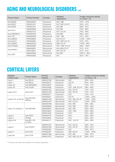### **AGING AND NEUROLOGICAL DISORDERS** cont.

| <b>Product Name</b>   | <b>Product Number</b> | Clonality  | Validated<br>Applications | Antigen sequence identity<br>to mouse - rat |
|-----------------------|-----------------------|------------|---------------------------|---------------------------------------------|
| Anti-SNCB             | HPA035876             | Polyclonal | IHC*, WB*                 | $97\% - 97\%$                               |
| Anti-SOD1             | HPA001401             | Polyclonal | IHC*,WB*,ICC-IF           | $82\% - 81\%$                               |
| Anti-SOD <sub>2</sub> | HPA001814             | Polyclonal | IHC.WB                    | $88\% - 87\%$                               |
| Anti-THY1             | AMAb90844             | Monoclonal | IHC, WB                   | $64\% - 68\%$                               |
|                       | HPA003733             | Polyclonal | IHC*, ICC-IF              | $64\% - 68\%$                               |
| Anti-TNFRSF21         | HPA006746             | Polyclonal | IHC.WB*                   | $86\% - 85\%$                               |
| Anti-TTR              | AMAb90649             | Monoclonal | IHC*, WB                  | $81\% - 83\%$                               |
| Anti-UBE2K            | HPA028869             | Polyclonal | <b>IHC, ICC-IF</b>        | 100% - 100%                                 |
| Anti-UCHL1            | HPA005993             | Polyclonal | IHC*, WB*, ICC-IF         | $97\% - 97\%$                               |
| Anti-USP46            | AMAb90722             | Monoclonal | WB*,ICC-IF                | 100% - 99%                                  |
| Anti-VPS26A           | AMAb90967             | Monoclonal | IHC*, WB*, ICC-IF         | $96\% - 100\%$                              |
| Anti-WHSC1            | AMAb90851             | Monoclonal | IHC, WB, ICC-IF           | $91\% - 91\%$                               |
|                       | HPA015801             | Polyclonal | IHC*, ICC-IF              | $91\% - 91\%$                               |
| Anti-VWF              | AMAb90928             | Monoclonal | IHC, WB                   | $80\%$ % - $80\%$                           |
|                       | HPA002082             | Polyclonal | <b>IHC</b>                | $82\% - 78\%$                               |

### CORTICAL LAYERS

| Targeted<br><b>Cortical Layer</b> | <b>Product Name</b>    | Product<br><b>Number</b> | Clonality  | Validated<br>Applications | Antigen sequence identity<br>to mouse - rat |
|-----------------------------------|------------------------|--------------------------|------------|---------------------------|---------------------------------------------|
| Layer 1                           | Anti-RELN              | AMAb91365                | Monoclonal | <b>IHC</b>                | $90\% - 94\%$                               |
| Layer 1                           | Anti-RELN              | HPA046512                | Polyclonal | ICC-IF                    | $90\% - 94\%$                               |
| Layer 2/3                         | Anti-RASGRF2           | HPA018679                | Polyclonal | <b>IHC</b>                | 72% - 71%                                   |
| Layer 2/3                         | Anti-CALB1             | HPA023099                | Polyclonal | IHC*, WB, ICC-IF          | 98% - 99%                                   |
|                                   |                        | AMAb91352                | Monoclonal | IHC, ICC-IF               | 72% - 74%                                   |
| Layer 2/3-4                       | Anti-CUX1              | AMAb91353                | Monoclonal | IHC, ICC-IF               | 72% - 74%                                   |
|                                   |                        | HPA003277                | Polyclonal | <b>IHC</b>                | 72% - 74%                                   |
|                                   | Anti-POU3F2            | HPA056261                | Polyclonal | ICC-IF                    | 100% - 100%                                 |
| Layers 2/3, 4 and 5b              | (BRN2)                 | AMAb91406                | Monoclonal | IHC, WB, ICC-IF           | 100% - 100%                                 |
|                                   |                        | AMAb91407                | Monoclonal | IHC, ICC-IF               | 100% - 100%                                 |
|                                   | Anti-NECAB1            | AMAb90798                | Monoclonal | IHC, WB                   | $98\% - 98\%$                               |
|                                   |                        | AMAb90800                | Monoclonal | IHC, WB                   | 98% - 98%                                   |
| Layer $2-4$ (mainly 4)            |                        | AMAb90801                | Monoclonal | IHC, WB                   | $98\% - 98\%$                               |
|                                   |                        | HPA023629                | Polyclonal | IHC*, WB                  | $98\% - 98\%$                               |
|                                   |                        | HPA031262                | Polyclonal | $IHC*$                    | $97\% - 98\%$                               |
| Layer 5                           | Anti-PCP4              | HPA005792                | Polyclonal | IHC*                      | $96\% - 96\%$                               |
| Layer 5                           | CNTN6                  | HPA016645                | Polyclonal | <b>IHC</b>                | 86% - 84%                                   |
| Layers 5-6                        | Anti-BCL11B<br>(CTIP2) | HPA049117                | Polyclonal | IHC*, ICC-IF              | $96\% - 98\%$                               |
|                                   |                        | AMAb91361                | Monoclonal | IHC, ICC-IF               | 99% - 97%                                   |
| Layer 6                           | Anti-FOXP2             | AMAb91362                | Monoclonal | IHC, ICC-IF               | $99\% - 97\%$                               |
|                                   |                        | HPA000382                | Polyclonal | <b>IHC</b>                | 99% - 97%                                   |
| Layer 6                           | Anti-TLE4              | HPA065357                | Polyclonal | WB, ICC-IF                | 100% - 100%                                 |
|                                   |                        | AMAb91366                | Monoclonal | IHC, WB                   | $96\% - 97\%$                               |
| Layer 6b                          | Anti-CTGF              | HPA031075                | Polyclonal | IHC, WB, ICC-IF           | $96\% - 97\%$                               |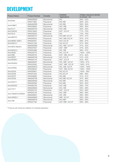### DEVELOPMENT

| <b>Product Name</b> | <b>Product Number</b> | Clonality  | Validated<br>Applications | Antigen sequence identity<br>to mouse - rat |
|---------------------|-----------------------|------------|---------------------------|---------------------------------------------|
| Anti-ENG            | AMAb90925             | Monoclonal | <b>IHC</b>                | 66% - 22%                                   |
|                     | HPA011862             | Polyclonal | IHC, WB                   | 66% - 22%                                   |
|                     | AMAb90595             | Monoclonal | IHC, WB                   | 89% - 90%                                   |
| Anti-FABP7          | HPA028825             | Polyclonal | IHC*, WB                  | 89% - 90%                                   |
| Anti-FLT1           | AMAb90704             | Monoclonal | IHC*, WB                  | 80% - 82%                                   |
| Anti-GAP43          | HPA015600             | Polyclonal | IHC*, ICC-IF              | 71% - 70%                                   |
| Anti-GLI3           | HPA005534             | Polyclonal | <b>IHC</b>                | 74% - 76%                                   |
| Anti-MEF2C          | AMAb90727             | Monoclonal | IHC, WB*, ICC-IF          | $97\% - 47\%$                               |
|                     | HPA005533             | Polyclonal | IHC*, WB*, ICC-IF         | $97\% - 47\%$                               |
| Anti-MKI67 (Ki67)   | HPA000451             | Polyclonal | IHC*, ICC-IF              | 66% - 67%                                   |
| Anti-NACC1          | HPA021238             | Polyclonal | IHC, ICC-IF               | $91\% - 89\%$                               |
|                     | AMAb90556             | Monoclonal | IHC, WB*, ICC-IF          | 47% - 42%                                   |
| Anti-NES (Nestin)   | HPA007007             | Polyclonal | IHC*, WB*                 | 47% - 42%                                   |
| Anti-NKX2-2         | HPA003468             | Polyclonal | IHC, WB                   | $96\% - 97\%$                               |
| Anti-PAX6           | HPA030775             | Polyclonal | IHC, ICC-IF               | 100% - 100%                                 |
| Anti-PBK            | HPA005753             | Polyclonal | IHC*, WB, ICC-IF          | $91\% - 94\%$                               |
| Anti-REST           | AMAb90740             | Monoclonal | IHC, ICC-IF               | 41% - 43%                                   |
| Anti-RUNX1          | HPA004176             | Polyclonal | IHC*, ICC-IF              | $93\% - 93\%$                               |
| Anti-RUNX2          | AMAb90591             | Monoclonal | IHC, WB*, ICC-IF          | 100% - 81%                                  |
|                     | HPA022040             | Polyclonal | IHC*, WB*, ICC-IF         | 100% - 81%                                  |
| Anti-SATB2          | AMAb90679             | Monoclonal | IHC, WB, ICC-IF           | 100% - 100%                                 |
|                     | HPA029543             | Polyclonal | IHC*, WB, ICC-IF          | 100% - 100%                                 |
| Anti-SOX4           | HPA029901             | Polyclonal | IHC, ICC-IF               | 100% - 39%                                  |
| Anti-SOX6           | HPA001923             | Polyclonal | IHC, ICC-IF               | $96\% - 96\%$                               |
| Anti-SOX7           | HPA009065             | Polyclonal | IHC, WB                   | $91\% - 91\%$                               |
| Anti-SOX9           | AMAb90795             | Monoclonal | IHC, WB*, ICC-IF          | $97\% - 96\%$                               |
| Anti-SOX11          | AMAb90502             | Monoclonal | IHC, WB                   | 82% - 82%                                   |
|                     | HPA000536             | Polyclonal | IHC, WB                   | 82% - 82%                                   |
| Anti-SOX30          | HPA006159             | Polyclonal | IHC*, WB                  | 68% - 70%                                   |
| Anti-THY1           | AMAb90844             | Monoclonal | IHC, WB                   | 64% - 68%                                   |
|                     | HPA003733             | Polyclonal | IHC*, ICC-IF              | 64% - 68%                                   |
| Anti-TM4SF2/TSPAN7  | HPA003140             | Polyclonal | IHC, WB*                  | $96\% - 96\%$                               |
|                     | AMAb90621             | Monoclonal | IHC, WB                   | $96\% - 96\%$                               |
| Anti-VANGL1         | AMAb90600             | Monoclonal | WB*, ICC-IF               | $95\% - 95\%$                               |
| Anti-VIM            | AMAb90516             | Monoclonal | IHC, WB*                  | 99% - 99%                                   |
|                     | HPA001762             | Polyclonal | IHC*, WB*, ICC-IF         | 99% - 99%                                   |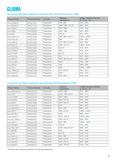# GLIOMA

#### **Top 20 genes with highest significance associated with unfavorable prognosis in GBM.**

| <b>Product Name</b> | <b>Product Number</b> | Clonality  | Validated<br>Applications | Antigen sequence identity<br>to mouse - rat |
|---------------------|-----------------------|------------|---------------------------|---------------------------------------------|
| Anti-ADAM15         | HPA011633             | Polyclonal | IHC, WB                   | $82\% - 84\%$                               |
| Anti-ARMC10         | HPA011036             | Polyclonal | IHC*, WB*, ICC-IF         | 89% - 83%                                   |
| Anti-CEND1          | HPA042527             | Polyclonal | IHC*, WB*                 | 75% - 74%                                   |
| Anti-DBNL           | HPA020265             | Polyclonal | IHC*, WB*                 | $95\% - 95\%$                               |
| Anti-EN2            | HPA045646             | Polyclonal | <b>ICC-IF</b>             | 87% - 87%                                   |
| Anti-FAM174A        | HPA019539             | Polyclonal | IHC, WB*, ICC-IF          | 100% - 100%                                 |
| Anti-KDELR2         | HPA016459             | Polyclonal | <b>IHC</b>                | 29% - 28%                                   |
| Anti-LRRC61         | HPA019355             | Polyclonal | IHC, WB*, ICC-IF          | 89% - 90%                                   |
| Anti-MED10          | HPA042795             | Polyclonal | WB*, ICC-IF               | 100% - 100%                                 |
| Anti-MGAT4B         | HPA012804             | Polyclonal | ICC-IF                    | $97\% - 97\%$                               |
| Anti-PODNL1         | HPA042807             | Polyclonal | <b>IHC</b>                | $81\% - 81\%$                               |
| Anti-PTPRN          | HPA007152             | Polyclonal | ICC-IF                    | $81\% - 81\%$                               |
| Anti-RPL39L         | HPA047105             | Polyclonal | <b>IHC</b>                | $95\% - 95\%$                               |
| Anti-RPP25          | HPA046900             | Polyclonal | IHC, WB, ICC-IF           | 84% - 85%                                   |
| Anti-SLC6A6         | HPA016488             | Polyclonal | IHC*                      | 78% - 78%                                   |
| Anti-SPAG4          | HPA048393             | Polyclonal | <b>IHC</b>                | 89% - 89%                                   |
| Anti-STC1           | HPA023918             | Polyclonal | <b>IHC</b>                | 100% - 100%                                 |
| Anti-TSPAN13        | HPA007426             | Polyclonal | IHC, ICC-IF               | 89% - 87%                                   |
| Anti-WFDC2          | HPA042302             | Polyclonal | $IHC*$                    | $63\% - 41\%$                               |
| Anti-ZBED6CL        | HPA019724             | Polyclonal | IHC, WB*                  | 29% - 30%                                   |

#### **Top 20 genes with highest significance associated with favorable prognosis in GBM.**

| <b>Product Name</b> | <b>Product Number</b> | Clonality  | Validated<br>Applications | Antigen sequence identity<br>to mouse - rat |
|---------------------|-----------------------|------------|---------------------------|---------------------------------------------|
| Anti-ARHGAP12       | HPA000412             | Polyclonal | IHC*, WB                  | 86% - 86%                                   |
| Anti-CDYL           | HPA035578             | Polyclonal | IHC*, WB, ICC-IF          | 89% - 77%                                   |
| Anti-ETNPPL         | HPA044546             | Polyclonal | IHC*, WB*                 | $64\% - 65\%$                               |
| Anti-MARS2          | HPA035589             | Polyclonal | IHC, ICC-IF               | $92\% - 93\%$                               |
| Anti-MIER1          | HPA019589             | Polyclonal | IHC*, ICC-IF              | 97% - 96%                                   |
| Anti-MTHFD2         | HPA049657             | Polyclonal | <b>IHC</b>                | 88% - 85%                                   |
| Anti-NEUROD1        | HPA003278             | Polyclonal | IHC, WB*                  | $98\% - 97\%$                               |
| Anti-PATZ1          | HPA047893             | Polyclonal | IHC, ICC-IF               | 100% - 100%                                 |
| Anti-RCOR3          | HPA007621             | Polyclonal | <b>WB</b>                 | $96\% - 97\%$                               |
| Anti-SAMD13         | HPA058929             | Polyclonal | IHC*, ICC-IF              | 100% - 50%                                  |
| Anti-SLC39A10       | HPA036512             | Polyclonal | IHC, ICC-IF               | $93\% - 93\%$                               |
| Anti-SOX21          | AMAb91309             | Monoclonal | IHC, WB                   | 100% - 100%                                 |
| Anti-STARD7         | HPA064958             | Polyclonal | ICC-IF                    | $97\% - 95\%$                               |
| Anti-TBL1XR1        | HPA019182             | Polyclonal | IHC*, WB, ICC-IF          | $96\% - 97\%$                               |
| Anti-ZBTB6          | HPA054111             | Polyclonal | <b>IHC</b>                | $92\% - 89\%$                               |
| Anti-ZFP1           | HPA044916             | Polyclonal | <b>ICC-IF</b>             | 70% - 76%                                   |
| Anti-ZNF322         | HPA043161             | Polyclonal | IHC, WB                   | $91\% - 91\%$                               |
| Anti-ZNF420         | HPA059675             | Polyclonal | IHC, ICC-IF               | $31\% - 31\%$                               |
| Anti-ZNF639         | HPA049023             | Polyclonal | IHC, ICC-IF               | 87% - 86%                                   |
| Anti-ZNF821         | HPA036372             | Polyclonal | IHC*, ICC-IF              | 74% - 77%                                   |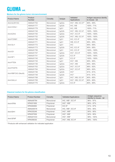### GLIOMA cont.

#### **Markers for the glioma tumor microenvironment**

| <b>Product Name</b> | Product<br><b>Number</b> | Clonality  | Isotype | Validated<br>Applications | Antigen sequence identity<br>to mouse - rat |
|---------------------|--------------------------|------------|---------|---------------------------|---------------------------------------------|
| Anti-ALDH1A3        | AMAb91754                | Monoclonal | IgG2a   | IHC*, WB, ICC-IF*         | $90\% - 95\%$                               |
| Anti-CHI3L1         | AMAb91777                | Monoclonal | IgG2b   | IHC, WB                   | 100% - 71%                                  |
|                     | AMAb91778                | Monoclonal | IgG1    | IHC, WB                   | 100% - 71%                                  |
|                     | AMAb91749                | Monoclonal | IgG2b   | IHC*, WB, ICC-IF          | 100% - 100%                                 |
| Anti-EZH2           | AMAb91750                | Monoclonal | IgG2a   | IHC*, ICC-IF              | 100% - 100%                                 |
|                     | AMAb91752                | Monoclonal | IgG2b   | IHC*, WB, ICC-IF          | 100% - 100%                                 |
| Anti-FOXM1          | AMAb91766                | Monoclonal | IgG1    | IHC, ICC-IF               | 100% - 100%                                 |
|                     | AMAb91771                | Monoclonal | IgG1    | WB, ICC-IF                | $95\% - 95\%$                               |
| Anti-GLI1           | AMAb91772                | Monoclonal | IgG1    | <b>IHC</b>                | $95\% - 95\%$                               |
|                     | AMAb91773                | Monoclonal | IgG2b   | IHC, ICC-IF               | $95\% - 95\%$                               |
| Anti-ID1            | AMAb91756                | Monoclonal | IgG1    | IHC, ICC-IF               | 100% - 100%                                 |
|                     | AMAb91757                | Monoclonal | IgG2a   | IHC*, ICC-IF              | 100% - 100%                                 |
| Anti-NF1            | AMAb91741                | Monoclonal | IgG2b   | ICC-IF                    | 100% - 100%                                 |
|                     | AMAb91745                | Monoclonal | IgG1    | ICC-IF                    | 100% - 100%                                 |
| Anti-PTEN           | AMAb91735                | Monoclonal | IgG1    | IHC*, WB                  | $95\% - 95\%$                               |
|                     | AMAb91736                | Monoclonal | IgG2a   | IHC*, WB                  | $95\% - 95\%$                               |
| Anti-POSTN          | AMAb91763                | Monoclonal | IgG2a   | IHC*, ICC-IF              | $96\% - 92\%$                               |
|                     | AMAb91764                | Monoclonal | lgG2a   | IHC*, ICC-IF              | $96\% - 92\%$                               |
|                     | AMAb91746                | Monoclonal | IgG2b   | IHC*                      | $91\% - 91\%$                               |
| Anti-RBFOX3 (NeuN)  | AMAb91748                | Monoclonal | IgG2b   | $IHC^*$                   | $91\% - 91\%$                               |
|                     | AMAb91768                | Monoclonal | IgG1    | IHC*, WB, ICC-IF          | $80\% - 85\%$                               |
| Anti-SALL4          | AMAb91769                | Monoclonal | IgG1    | IHC*, WB, ICC-IF          | $80\% - 85\%$                               |
|                     | AMAb91770                | Monoclonal | IgG2a   | ICC-IF                    | $80\% - 85\%$                               |

#### **Classical markers for the glioma classification**

| <b>Product Name</b> | <b>Product Number</b> | Clonality  | <b>Validated Applications</b> | Antigen sequence<br>identity to mouse - rat |
|---------------------|-----------------------|------------|-------------------------------|---------------------------------------------|
|                     | AMAb90784             | Monoclonal | IHC, WB*, ICC-IF              | $96\% - 97\%$                               |
| Anti-ATRX           | HPA001906             | Polyclonal | IHC*, WB*                     | $96\% - 97\%$                               |
|                     | HPA064684             | Polyclonal | <b>ICC-IF</b>                 | $51\% - 57\%$                               |
|                     | AMAb90578             | Monoclonal | IHC, WB*, ICC-IF              | $95\% - 95\%$                               |
| Anti-IDH1           | HPA035248             | Polyclonal | IHC*, WB*                     | $95\% - 95\%$                               |
|                     | HPA057936             | Polyclonal | IHC*, WB*                     | $92\% - 95\%$                               |
| Anti-GFAP           | AMAb91033             | Monoclonal | IHC*, WB*                     | 98% - 100%                                  |
|                     | HPA056030             | Polyclonal | IHC*, WB, ICC-IF              | 98% - 100%                                  |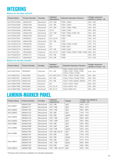### INTEGRINS

#### **Markers for the alpha subunits**

| <b>Product Name</b> | <b>Product Number</b> | Clonality  | Validated<br>Applications | <b>Selected Interaction Partners</b> | Antigen sequence<br>identity to mouse - rat |
|---------------------|-----------------------|------------|---------------------------|--------------------------------------|---------------------------------------------|
| Anti-ITGA1/CD49a    | AMAb91461             | Monoclonal | IHC*, WB*                 | ITGB1, LAMA1                         | $89\% - 95\%$                               |
| Anti-ITGA2/CD49b    | AMAb91469             | Monoclonal | IHC*, WB                  | ITGB1, LAMA1                         | 78% - 80%                                   |
| Anti-ITGA3/CD49c    | AMAb91446             | Monoclonal | IHC*, WB*                 | ITGB1, ITGB4, ITGB5                  | $84\% - 82\%$                               |
| Anti-ITGA4/CD49d    | HPA074961             | Polyclonal | <b>ICC-IF</b>             | ITGB3, VCAM                          | $90\% - 89\%$                               |
| Anti-ITGA5/CD49e    | AMAb91449             | Monoclonal | IHC*, WB*                 | ITGB1, ITGB3, ITGB5, FN1             | $85\% - 82\%$                               |
| Anti-ITGA6/CD49f    | AMAb91450             | Monoclonal | $IHC*$                    | ITGB1, ITGB4                         | $88\% - 86\%$                               |
| Anti-ITGA7/ITGA7    | HPA008427             | Polyclonal | IHC, ICC-IF               | ITGB1                                | $94\% - 91\%$                               |
| Anti-ITGA8/ITGA8    | AMAb91468             | Monoclonal | IHC*, WB                  | ITGB1                                | $91\% - 91\%$                               |
| Anti-ITGAD/CD11D    | HPA026786             | Polyclonal | <b>IHC</b>                | ITGB2, ICAM3, VCAM1                  | 76% - 77%                                   |
| Anti-ITGAE/CD103    | HPA036313             | Polyclonal | <b>IHC</b>                | ITGB7, CDH1                          | $68\% - 68\%$                               |
| Anti-ITGAM/CD11b    | AMAb90911             | Monoclonal | IHC*, WB                  | ITGB2, ICAM1                         | $67\% - 68\%$                               |
| Anti-ITGAV/CD51     | HPA004856             | Polyclonal | IHC, ICC-IF               | ITGB1, ITGB3, ITGB5, ITGB6, ITGB8    | $88\% - 90\%$                               |
| Anti-ITGA2B/CD41    | HPA031170             | Polyclonal | IHC*, WB                  | ITGB3                                | $85\% - 82\%$                               |
| Anti-ITGAX/CD11c    | AMAb90915             | Monoclonal | IHC*, WB                  | ITGB2                                | $61\% - 59\%$                               |

#### **Markers for the beta subunits**

| <b>Product Name</b> | <b>Product Number</b> | Clonality  | Validated<br>Applications | <b>Selected Interaction Partners</b>                                                | Antigen sequence<br>identity to mouse - rat |
|---------------------|-----------------------|------------|---------------------------|-------------------------------------------------------------------------------------|---------------------------------------------|
| Anti-ITGB1/CD29     | HPA059297             | Polyclonal | IHC*, WB                  | TTGA1, ITGA2, ITGA3, ITGA5,<br>ITGA6, ITGA7, ITGA8, ITGA9,<br>ITGA10. ITGA11. ITGAV | $91\% - 91\%$                               |
| Anti-ITGB2/CD18     | HPA016894             | Polyclonal | IHC*.WB*.ICC-IF           | ITGAL. ITGAD. ITGAM. ITGAX                                                          | $89\% - 86\%$                               |
| Anti-ITGB3/CD61     | AMAb91470             | Monoclonal | IHC*, WB                  | ITGA4, ITGA5, ITGA2B, ITGAV                                                         | $92\% - 90\%$                               |
| Anti-ITGB4/CD104    | AMAb91454             | Monoclonal | IHC*, WB                  | ITGA3. ITGA6. SMAD2. SMAD3                                                          | $97\% - 97\%$                               |
| Anti-ITGB5/ITGB5    | HPA001820             | Polyclonal | <b>IHC</b>                | ITGA3, ITGA5, ITGAV                                                                 | $88\% - 35\%$                               |
| Anti-ITGB6/ITGB6    | HPA023626             | Polyclonal | IHC. ICC-IF               | <b>ITGAV. MAPK1. FN1</b>                                                            | $90\% - 88\%$                               |
| Anti-ITGB8/ITGB8    | AMAb91467             | Monoclonal | WB. ICC-IF                | <b>ITGAV, RHEB, FN1</b>                                                             | $85\% - 85\%$                               |

### LAMININ-MARKER PANEL

| <b>Product Name</b> | <b>Product Number</b> | Clonality  | Validated<br>Applications | <b>Isotype</b> | Antigen seq identity to<br>mouse - rat |
|---------------------|-----------------------|------------|---------------------------|----------------|----------------------------------------|
|                     | AMAb91091             | Monoclonal | IHC, WB                   | IgG1           | $62\% - 61\%$                          |
| Anti-LAMA1          | AMAb91117             | Monoclonal | IHC*, WB                  | IgG1           | $89\% - 91\%$                          |
| Anti-LAMA2          | AMAb91166             | Monoclonal | IHC*, WB                  | IgG1           | $96\% - 98\%$                          |
| Anti-LAMA3          | AMAb91123             | Monoclonal | IHC, WB                   | IgG1           | 74% - 71%                              |
| Anti-LAMA4          | AMAb91133             | Monoclonal | IHC, WB                   | lgG2b          | $86\% - 85\%$                          |
|                     | AMAb91134             | Monoclonal | IHC*, WB                  | lgG1           | $86\% - 85\%$                          |
| Anti-LAMA5          | AMAb91124             | Monoclonal | IHC*, WB*                 | lgG1           | $62\% - 68\%$                          |
| Anti-LAMB1          | AMAb91092             | Monoclonal | IHC, WB                   | lgG1           | $90\% - 89\%$                          |
| Anti-LAMB2          | AMAb91096             | Monoclonal | IHC, WB*                  | IgG1           | $83\% - 82\%$                          |
|                     | AMAb91097             | Monoclonal | IHC*, WB                  | IgG2a          | $83\% - 82\%$                          |
|                     | AMAb91160             | Monoclonal | IHC, WB, ICC-IF           | lgG1           | 75% - 76%                              |
| Anti-LAMB3          | AMAb91161             | Monoclonal | IHC, WB                   | IgG1           | 75% - 76%                              |
|                     | AMAb91136             | Monoclonal | IHC, WB                   | IgG2b          | $91\% - 91\%$                          |
|                     | AMAb91137             | Monoclonal | IHC, WB                   | IgG1           | $91\% - 91\%$                          |
| Anti-LAMC1          | AMAb91138             | Monoclonal | IHC*, WB                  | lgG2b          | $86\% - 89\%$                          |
|                     | AMAb91140             | Monoclonal | IHC, WB                   | IgG1           | $86\% - 89\%$                          |
| Anti-LAMC2          | AMAb91098             | Monoclonal | IHC*, WB*, ICC-IF         | lgG1           | $83\% - 79\%$                          |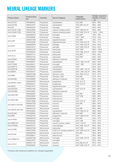### NEURAL LINEAGE MARKERS

| 98% - 99%<br>Anti-ACTN1<br>HPA006035<br>Polyclonal<br>cytoskeleton<br>IHC, WB*<br>Anti-ACTN4<br>Polyclonal<br>cytoskeleton<br>IHC, WB*, ICC-IF<br>99% - 98%<br>HPA001873<br>IHC*<br>$84\% - 84\%$<br>Anti-AIF<br>microglia<br>HPA049234<br>Polyclonal<br>calcium binding protein<br>Anti-CALB1 (CB)<br>IHC*, WB, ICC-IF<br>98% - 99%<br>HPA023099<br>Polyclonal<br>calcium binding protein<br>100% - 100%<br>Anti-CALB2 (CR)<br>IHC*, WB*, ICC-IF<br>HPA007305<br>Polyclonal<br>microglia<br>Monoclonal<br>IHC, WB*<br>76% - 76%<br>AMAb90874<br>Anti-CD68<br>microglia<br>76% - 76%<br>IHC*, WB*<br>HPA048982<br>Polyclonal<br>oligodendrocytes<br>76% - 77%<br>Monoclonal<br>AMAb91068<br>IHC, WB*<br>Anti-CNP<br>oligodendrocytes<br>76% - 77%<br>HPA023280<br>IHC*, WB*, ICC-IF<br>Polyclonal<br>Monoclonal<br>astroglia<br>IHC*, WB*, ICC-IF<br>$93\% - 93\%$<br>AMAb90976<br>Anti-EZR<br>$93\% - 93\%$<br>HPA021616<br>astroglia<br>IHC*, WB*, ICC-IF<br>Polyclonal<br>98% - 100%<br>Monoclonal<br>IHC*, WB*<br>AMAb91033<br>astrocytes<br>Anti-GFAP<br>98% - 100%<br>HPA056030<br>IHC*, WB, ICC-IF<br>Polyclonal<br>astrocytes<br>IHC, WB*<br>Monoclonal<br>$95\% - 53\%$<br>AMAb91101<br>astrocytes<br>Anti-GLUL<br>$95\% - 53\%$<br>IHC, WB*<br>HPA007316<br>Polyclonal<br>astrocytes<br><b>IHC</b><br>85% - 86%<br>Anti-ICAM5<br>adhesion molecule<br>HPA009083<br>Polyclonal<br>IHC*, WB, ICC-IF<br>83% - 84%<br>Polyclonal<br>cytoskeleton<br>Anti-INA<br>HPA008057<br>$67\% - 68\%$<br>Anti-ITGAM<br>Monoclonal<br>microglia<br>IHC*, WB<br>AMAb90911<br>IHC*<br>$60\% - 52\%$<br>Anti-MAP1A<br>Polyclonal<br>cytoskeleton<br>HPA039064<br>cytoskeleton<br>IHC*, WB*, ICC-IF<br>85% - 86%<br>Anti-MAP1B<br>Polyclonal<br>HPA022275<br>IHC*, WB, ICC-IF<br>$96\% - 96\%$<br>Anti-MAP2<br>HPA008273<br>Polyclonal<br>cytoskeleton<br>Schwann cells<br>IHC, WB, ICC-IF<br>$97\% - 97\%$<br>Monoclonal<br>AMAb91062<br>Anti-MBP<br>$97\% - 97\%$<br>Schwann cells<br>HPA049222<br>Polyclonal<br>IHC, WB<br>Anti-MCAM<br>75% - 73%<br>HPA008848<br>adhesion molecule<br>IHC*, WB*<br>Polyclonal<br>Monoclonal<br>68% - 68%<br>AMAb90870<br>progenitors<br>IHC, ICC-IF<br>Anti-MKI67 (Ki67)<br>progenitors<br>IHC*, ICC-IF<br>66% - 67%<br>HPA000451<br>Polyclonal<br><b>IHC</b><br>Anti-MOG<br>oligodendrocytes<br>$91\% - 89\%$<br>HPA021873<br>Polyclonal<br>cytoskeleton<br>99% - 98%<br>Anti-MYO5A<br>IHC*, ICC-IF<br>HPA001356<br>Polyclonal<br><b>IHC</b><br>Anti-NCAM2<br>adhesion molecule<br>89% - 91%<br>HPA030900<br>Polyclonal<br>Monoclonal<br>IHC, WB<br>98% - 98%<br>AMAb90801<br>interneurons<br>Anti-NECAB1<br>Polyclonal<br>IHC*, WB<br>98% - 98%<br>HPA023629<br>interneurons<br>Monoclonal<br><b>IHC</b><br>85% - 84%<br>AMAb90808<br>interneurons<br>Anti-NECAB2<br>HPA013998<br>Polyclonal<br>interneurons<br>IHC*, ICC-IF<br>$98\% - 97\%$<br>Monoclonal<br>88% - 94%<br>AMAb91025<br>IHC, WB<br>neurons<br>Anti-NEFH (NF200)<br>IHC*<br>Polyclonal<br>88% - 94%<br>HPA061615<br>neurons<br>Monoclonal<br>IHC, WB<br>98% - 98%<br>AMAb91027<br>neurons<br>Anti-NEFM (NF160)<br>HPA022845<br>IHC*, WB, ICC-IF<br>98% - 98%<br>Polyclonal<br>cytoskeleton<br>Anti-NLGN1<br>Polyclonal<br>adhesion molecule<br>IHC, WB*<br>98% - 98%<br>HPA006680<br>Anti-PBK<br>Polyclonal<br>progenitors<br>IHC*, WB, ICC-IF<br>$91\% - 94\%$<br>HPA005753<br>microglia<br>Monoclonal<br>$35\% - 37\%$<br>AMAb90518<br>IHC, WB<br>Anti-PTPRC<br>Polyclonal<br>microglia<br>$35\% - 37\%$<br>HPA000440<br>IHC*,WB<br>neuron nuclear marker<br>IHC*, ICC-IF<br>$93\% - 94\%$<br>Anti-RBFOX3<br>HPA030790<br>Polyclonal<br>Anti-S100A8<br>Polyclonal<br>macrophages<br>IHC*, WB, ICC-IF<br>56% - 60%<br>HPA024372<br>Monoclonal<br>astrocytes<br>IHC*, WB<br>99% - 98%<br>AMAb91038<br>Anti-S100B<br>S100 Ca+ binding protein B<br>Polyclonal<br>IHC*, WB*, ICC-IF<br>99% - 98%<br>HPA015768<br>IHC, WB<br>$96\% - 96\%$<br>AMAb90630<br>Monoclonal<br>interneurons<br>Anti-SCGN<br><b>IHC</b><br>Polyclonal<br>$96\% - 96\%$<br>HPA006641<br>interneurons<br>Monoclonal<br>IHC*, WB, ICC-IF<br>52% - 46%<br>AMAb91528<br>microglia<br>Anti-TMEM119<br>IHC*<br>Polyclonal<br>52% - 46%<br>HPA051870<br>microglia<br>AMAb91145<br>Monoclonal<br>$97\% - 97\%$<br>IHC, WB, ICC-IF<br>neurons<br>Anti-UCHL1<br>neurons | <b>Product Name</b> | <b>Product Num-</b><br>ber | Clonality  | <b>Neural Category</b> | Validated<br>Applications | Antigen sequence<br>identity to mouse<br>- rat |
|--------------------------------------------------------------------------------------------------------------------------------------------------------------------------------------------------------------------------------------------------------------------------------------------------------------------------------------------------------------------------------------------------------------------------------------------------------------------------------------------------------------------------------------------------------------------------------------------------------------------------------------------------------------------------------------------------------------------------------------------------------------------------------------------------------------------------------------------------------------------------------------------------------------------------------------------------------------------------------------------------------------------------------------------------------------------------------------------------------------------------------------------------------------------------------------------------------------------------------------------------------------------------------------------------------------------------------------------------------------------------------------------------------------------------------------------------------------------------------------------------------------------------------------------------------------------------------------------------------------------------------------------------------------------------------------------------------------------------------------------------------------------------------------------------------------------------------------------------------------------------------------------------------------------------------------------------------------------------------------------------------------------------------------------------------------------------------------------------------------------------------------------------------------------------------------------------------------------------------------------------------------------------------------------------------------------------------------------------------------------------------------------------------------------------------------------------------------------------------------------------------------------------------------------------------------------------------------------------------------------------------------------------------------------------------------------------------------------------------------------------------------------------------------------------------------------------------------------------------------------------------------------------------------------------------------------------------------------------------------------------------------------------------------------------------------------------------------------------------------------------------------------------------------------------------------------------------------------------------------------------------------------------------------------------------------------------------------------------------------------------------------------------------------------------------------------------------------------------------------------------------------------------------------------------------------------------------------------------------------------------------------------------------------------------------------------------------------------------------------------------------------------------------------------------------------------------------------------------------------------------------------------------------------------------------------------------------------------------------------------------------------------------------------------------------------------------------------------------------------------------------------------------------------------------------------------------------------------------------------------------------------------------------------------------------------------------------|---------------------|----------------------------|------------|------------------------|---------------------------|------------------------------------------------|
|                                                                                                                                                                                                                                                                                                                                                                                                                                                                                                                                                                                                                                                                                                                                                                                                                                                                                                                                                                                                                                                                                                                                                                                                                                                                                                                                                                                                                                                                                                                                                                                                                                                                                                                                                                                                                                                                                                                                                                                                                                                                                                                                                                                                                                                                                                                                                                                                                                                                                                                                                                                                                                                                                                                                                                                                                                                                                                                                                                                                                                                                                                                                                                                                                                                                                                                                                                                                                                                                                                                                                                                                                                                                                                                                                                                                                                                                                                                                                                                                                                                                                                                                                                                                                                                                                                                                |                     |                            |            |                        |                           |                                                |
|                                                                                                                                                                                                                                                                                                                                                                                                                                                                                                                                                                                                                                                                                                                                                                                                                                                                                                                                                                                                                                                                                                                                                                                                                                                                                                                                                                                                                                                                                                                                                                                                                                                                                                                                                                                                                                                                                                                                                                                                                                                                                                                                                                                                                                                                                                                                                                                                                                                                                                                                                                                                                                                                                                                                                                                                                                                                                                                                                                                                                                                                                                                                                                                                                                                                                                                                                                                                                                                                                                                                                                                                                                                                                                                                                                                                                                                                                                                                                                                                                                                                                                                                                                                                                                                                                                                                |                     |                            |            |                        |                           |                                                |
|                                                                                                                                                                                                                                                                                                                                                                                                                                                                                                                                                                                                                                                                                                                                                                                                                                                                                                                                                                                                                                                                                                                                                                                                                                                                                                                                                                                                                                                                                                                                                                                                                                                                                                                                                                                                                                                                                                                                                                                                                                                                                                                                                                                                                                                                                                                                                                                                                                                                                                                                                                                                                                                                                                                                                                                                                                                                                                                                                                                                                                                                                                                                                                                                                                                                                                                                                                                                                                                                                                                                                                                                                                                                                                                                                                                                                                                                                                                                                                                                                                                                                                                                                                                                                                                                                                                                |                     |                            |            |                        |                           |                                                |
|                                                                                                                                                                                                                                                                                                                                                                                                                                                                                                                                                                                                                                                                                                                                                                                                                                                                                                                                                                                                                                                                                                                                                                                                                                                                                                                                                                                                                                                                                                                                                                                                                                                                                                                                                                                                                                                                                                                                                                                                                                                                                                                                                                                                                                                                                                                                                                                                                                                                                                                                                                                                                                                                                                                                                                                                                                                                                                                                                                                                                                                                                                                                                                                                                                                                                                                                                                                                                                                                                                                                                                                                                                                                                                                                                                                                                                                                                                                                                                                                                                                                                                                                                                                                                                                                                                                                |                     |                            |            |                        |                           |                                                |
|                                                                                                                                                                                                                                                                                                                                                                                                                                                                                                                                                                                                                                                                                                                                                                                                                                                                                                                                                                                                                                                                                                                                                                                                                                                                                                                                                                                                                                                                                                                                                                                                                                                                                                                                                                                                                                                                                                                                                                                                                                                                                                                                                                                                                                                                                                                                                                                                                                                                                                                                                                                                                                                                                                                                                                                                                                                                                                                                                                                                                                                                                                                                                                                                                                                                                                                                                                                                                                                                                                                                                                                                                                                                                                                                                                                                                                                                                                                                                                                                                                                                                                                                                                                                                                                                                                                                |                     |                            |            |                        |                           |                                                |
|                                                                                                                                                                                                                                                                                                                                                                                                                                                                                                                                                                                                                                                                                                                                                                                                                                                                                                                                                                                                                                                                                                                                                                                                                                                                                                                                                                                                                                                                                                                                                                                                                                                                                                                                                                                                                                                                                                                                                                                                                                                                                                                                                                                                                                                                                                                                                                                                                                                                                                                                                                                                                                                                                                                                                                                                                                                                                                                                                                                                                                                                                                                                                                                                                                                                                                                                                                                                                                                                                                                                                                                                                                                                                                                                                                                                                                                                                                                                                                                                                                                                                                                                                                                                                                                                                                                                |                     |                            |            |                        |                           |                                                |
|                                                                                                                                                                                                                                                                                                                                                                                                                                                                                                                                                                                                                                                                                                                                                                                                                                                                                                                                                                                                                                                                                                                                                                                                                                                                                                                                                                                                                                                                                                                                                                                                                                                                                                                                                                                                                                                                                                                                                                                                                                                                                                                                                                                                                                                                                                                                                                                                                                                                                                                                                                                                                                                                                                                                                                                                                                                                                                                                                                                                                                                                                                                                                                                                                                                                                                                                                                                                                                                                                                                                                                                                                                                                                                                                                                                                                                                                                                                                                                                                                                                                                                                                                                                                                                                                                                                                |                     |                            |            |                        |                           |                                                |
|                                                                                                                                                                                                                                                                                                                                                                                                                                                                                                                                                                                                                                                                                                                                                                                                                                                                                                                                                                                                                                                                                                                                                                                                                                                                                                                                                                                                                                                                                                                                                                                                                                                                                                                                                                                                                                                                                                                                                                                                                                                                                                                                                                                                                                                                                                                                                                                                                                                                                                                                                                                                                                                                                                                                                                                                                                                                                                                                                                                                                                                                                                                                                                                                                                                                                                                                                                                                                                                                                                                                                                                                                                                                                                                                                                                                                                                                                                                                                                                                                                                                                                                                                                                                                                                                                                                                |                     |                            |            |                        |                           |                                                |
|                                                                                                                                                                                                                                                                                                                                                                                                                                                                                                                                                                                                                                                                                                                                                                                                                                                                                                                                                                                                                                                                                                                                                                                                                                                                                                                                                                                                                                                                                                                                                                                                                                                                                                                                                                                                                                                                                                                                                                                                                                                                                                                                                                                                                                                                                                                                                                                                                                                                                                                                                                                                                                                                                                                                                                                                                                                                                                                                                                                                                                                                                                                                                                                                                                                                                                                                                                                                                                                                                                                                                                                                                                                                                                                                                                                                                                                                                                                                                                                                                                                                                                                                                                                                                                                                                                                                |                     |                            |            |                        |                           |                                                |
|                                                                                                                                                                                                                                                                                                                                                                                                                                                                                                                                                                                                                                                                                                                                                                                                                                                                                                                                                                                                                                                                                                                                                                                                                                                                                                                                                                                                                                                                                                                                                                                                                                                                                                                                                                                                                                                                                                                                                                                                                                                                                                                                                                                                                                                                                                                                                                                                                                                                                                                                                                                                                                                                                                                                                                                                                                                                                                                                                                                                                                                                                                                                                                                                                                                                                                                                                                                                                                                                                                                                                                                                                                                                                                                                                                                                                                                                                                                                                                                                                                                                                                                                                                                                                                                                                                                                |                     |                            |            |                        |                           |                                                |
|                                                                                                                                                                                                                                                                                                                                                                                                                                                                                                                                                                                                                                                                                                                                                                                                                                                                                                                                                                                                                                                                                                                                                                                                                                                                                                                                                                                                                                                                                                                                                                                                                                                                                                                                                                                                                                                                                                                                                                                                                                                                                                                                                                                                                                                                                                                                                                                                                                                                                                                                                                                                                                                                                                                                                                                                                                                                                                                                                                                                                                                                                                                                                                                                                                                                                                                                                                                                                                                                                                                                                                                                                                                                                                                                                                                                                                                                                                                                                                                                                                                                                                                                                                                                                                                                                                                                |                     |                            |            |                        |                           |                                                |
|                                                                                                                                                                                                                                                                                                                                                                                                                                                                                                                                                                                                                                                                                                                                                                                                                                                                                                                                                                                                                                                                                                                                                                                                                                                                                                                                                                                                                                                                                                                                                                                                                                                                                                                                                                                                                                                                                                                                                                                                                                                                                                                                                                                                                                                                                                                                                                                                                                                                                                                                                                                                                                                                                                                                                                                                                                                                                                                                                                                                                                                                                                                                                                                                                                                                                                                                                                                                                                                                                                                                                                                                                                                                                                                                                                                                                                                                                                                                                                                                                                                                                                                                                                                                                                                                                                                                |                     |                            |            |                        |                           |                                                |
|                                                                                                                                                                                                                                                                                                                                                                                                                                                                                                                                                                                                                                                                                                                                                                                                                                                                                                                                                                                                                                                                                                                                                                                                                                                                                                                                                                                                                                                                                                                                                                                                                                                                                                                                                                                                                                                                                                                                                                                                                                                                                                                                                                                                                                                                                                                                                                                                                                                                                                                                                                                                                                                                                                                                                                                                                                                                                                                                                                                                                                                                                                                                                                                                                                                                                                                                                                                                                                                                                                                                                                                                                                                                                                                                                                                                                                                                                                                                                                                                                                                                                                                                                                                                                                                                                                                                |                     |                            |            |                        |                           |                                                |
|                                                                                                                                                                                                                                                                                                                                                                                                                                                                                                                                                                                                                                                                                                                                                                                                                                                                                                                                                                                                                                                                                                                                                                                                                                                                                                                                                                                                                                                                                                                                                                                                                                                                                                                                                                                                                                                                                                                                                                                                                                                                                                                                                                                                                                                                                                                                                                                                                                                                                                                                                                                                                                                                                                                                                                                                                                                                                                                                                                                                                                                                                                                                                                                                                                                                                                                                                                                                                                                                                                                                                                                                                                                                                                                                                                                                                                                                                                                                                                                                                                                                                                                                                                                                                                                                                                                                |                     |                            |            |                        |                           |                                                |
|                                                                                                                                                                                                                                                                                                                                                                                                                                                                                                                                                                                                                                                                                                                                                                                                                                                                                                                                                                                                                                                                                                                                                                                                                                                                                                                                                                                                                                                                                                                                                                                                                                                                                                                                                                                                                                                                                                                                                                                                                                                                                                                                                                                                                                                                                                                                                                                                                                                                                                                                                                                                                                                                                                                                                                                                                                                                                                                                                                                                                                                                                                                                                                                                                                                                                                                                                                                                                                                                                                                                                                                                                                                                                                                                                                                                                                                                                                                                                                                                                                                                                                                                                                                                                                                                                                                                |                     |                            |            |                        |                           |                                                |
|                                                                                                                                                                                                                                                                                                                                                                                                                                                                                                                                                                                                                                                                                                                                                                                                                                                                                                                                                                                                                                                                                                                                                                                                                                                                                                                                                                                                                                                                                                                                                                                                                                                                                                                                                                                                                                                                                                                                                                                                                                                                                                                                                                                                                                                                                                                                                                                                                                                                                                                                                                                                                                                                                                                                                                                                                                                                                                                                                                                                                                                                                                                                                                                                                                                                                                                                                                                                                                                                                                                                                                                                                                                                                                                                                                                                                                                                                                                                                                                                                                                                                                                                                                                                                                                                                                                                |                     |                            |            |                        |                           |                                                |
|                                                                                                                                                                                                                                                                                                                                                                                                                                                                                                                                                                                                                                                                                                                                                                                                                                                                                                                                                                                                                                                                                                                                                                                                                                                                                                                                                                                                                                                                                                                                                                                                                                                                                                                                                                                                                                                                                                                                                                                                                                                                                                                                                                                                                                                                                                                                                                                                                                                                                                                                                                                                                                                                                                                                                                                                                                                                                                                                                                                                                                                                                                                                                                                                                                                                                                                                                                                                                                                                                                                                                                                                                                                                                                                                                                                                                                                                                                                                                                                                                                                                                                                                                                                                                                                                                                                                |                     |                            |            |                        |                           |                                                |
|                                                                                                                                                                                                                                                                                                                                                                                                                                                                                                                                                                                                                                                                                                                                                                                                                                                                                                                                                                                                                                                                                                                                                                                                                                                                                                                                                                                                                                                                                                                                                                                                                                                                                                                                                                                                                                                                                                                                                                                                                                                                                                                                                                                                                                                                                                                                                                                                                                                                                                                                                                                                                                                                                                                                                                                                                                                                                                                                                                                                                                                                                                                                                                                                                                                                                                                                                                                                                                                                                                                                                                                                                                                                                                                                                                                                                                                                                                                                                                                                                                                                                                                                                                                                                                                                                                                                |                     |                            |            |                        |                           |                                                |
|                                                                                                                                                                                                                                                                                                                                                                                                                                                                                                                                                                                                                                                                                                                                                                                                                                                                                                                                                                                                                                                                                                                                                                                                                                                                                                                                                                                                                                                                                                                                                                                                                                                                                                                                                                                                                                                                                                                                                                                                                                                                                                                                                                                                                                                                                                                                                                                                                                                                                                                                                                                                                                                                                                                                                                                                                                                                                                                                                                                                                                                                                                                                                                                                                                                                                                                                                                                                                                                                                                                                                                                                                                                                                                                                                                                                                                                                                                                                                                                                                                                                                                                                                                                                                                                                                                                                |                     |                            |            |                        |                           |                                                |
|                                                                                                                                                                                                                                                                                                                                                                                                                                                                                                                                                                                                                                                                                                                                                                                                                                                                                                                                                                                                                                                                                                                                                                                                                                                                                                                                                                                                                                                                                                                                                                                                                                                                                                                                                                                                                                                                                                                                                                                                                                                                                                                                                                                                                                                                                                                                                                                                                                                                                                                                                                                                                                                                                                                                                                                                                                                                                                                                                                                                                                                                                                                                                                                                                                                                                                                                                                                                                                                                                                                                                                                                                                                                                                                                                                                                                                                                                                                                                                                                                                                                                                                                                                                                                                                                                                                                |                     |                            |            |                        |                           |                                                |
|                                                                                                                                                                                                                                                                                                                                                                                                                                                                                                                                                                                                                                                                                                                                                                                                                                                                                                                                                                                                                                                                                                                                                                                                                                                                                                                                                                                                                                                                                                                                                                                                                                                                                                                                                                                                                                                                                                                                                                                                                                                                                                                                                                                                                                                                                                                                                                                                                                                                                                                                                                                                                                                                                                                                                                                                                                                                                                                                                                                                                                                                                                                                                                                                                                                                                                                                                                                                                                                                                                                                                                                                                                                                                                                                                                                                                                                                                                                                                                                                                                                                                                                                                                                                                                                                                                                                |                     |                            |            |                        |                           |                                                |
|                                                                                                                                                                                                                                                                                                                                                                                                                                                                                                                                                                                                                                                                                                                                                                                                                                                                                                                                                                                                                                                                                                                                                                                                                                                                                                                                                                                                                                                                                                                                                                                                                                                                                                                                                                                                                                                                                                                                                                                                                                                                                                                                                                                                                                                                                                                                                                                                                                                                                                                                                                                                                                                                                                                                                                                                                                                                                                                                                                                                                                                                                                                                                                                                                                                                                                                                                                                                                                                                                                                                                                                                                                                                                                                                                                                                                                                                                                                                                                                                                                                                                                                                                                                                                                                                                                                                |                     |                            |            |                        |                           |                                                |
|                                                                                                                                                                                                                                                                                                                                                                                                                                                                                                                                                                                                                                                                                                                                                                                                                                                                                                                                                                                                                                                                                                                                                                                                                                                                                                                                                                                                                                                                                                                                                                                                                                                                                                                                                                                                                                                                                                                                                                                                                                                                                                                                                                                                                                                                                                                                                                                                                                                                                                                                                                                                                                                                                                                                                                                                                                                                                                                                                                                                                                                                                                                                                                                                                                                                                                                                                                                                                                                                                                                                                                                                                                                                                                                                                                                                                                                                                                                                                                                                                                                                                                                                                                                                                                                                                                                                |                     |                            |            |                        |                           |                                                |
|                                                                                                                                                                                                                                                                                                                                                                                                                                                                                                                                                                                                                                                                                                                                                                                                                                                                                                                                                                                                                                                                                                                                                                                                                                                                                                                                                                                                                                                                                                                                                                                                                                                                                                                                                                                                                                                                                                                                                                                                                                                                                                                                                                                                                                                                                                                                                                                                                                                                                                                                                                                                                                                                                                                                                                                                                                                                                                                                                                                                                                                                                                                                                                                                                                                                                                                                                                                                                                                                                                                                                                                                                                                                                                                                                                                                                                                                                                                                                                                                                                                                                                                                                                                                                                                                                                                                |                     |                            |            |                        |                           |                                                |
|                                                                                                                                                                                                                                                                                                                                                                                                                                                                                                                                                                                                                                                                                                                                                                                                                                                                                                                                                                                                                                                                                                                                                                                                                                                                                                                                                                                                                                                                                                                                                                                                                                                                                                                                                                                                                                                                                                                                                                                                                                                                                                                                                                                                                                                                                                                                                                                                                                                                                                                                                                                                                                                                                                                                                                                                                                                                                                                                                                                                                                                                                                                                                                                                                                                                                                                                                                                                                                                                                                                                                                                                                                                                                                                                                                                                                                                                                                                                                                                                                                                                                                                                                                                                                                                                                                                                |                     |                            |            |                        |                           |                                                |
|                                                                                                                                                                                                                                                                                                                                                                                                                                                                                                                                                                                                                                                                                                                                                                                                                                                                                                                                                                                                                                                                                                                                                                                                                                                                                                                                                                                                                                                                                                                                                                                                                                                                                                                                                                                                                                                                                                                                                                                                                                                                                                                                                                                                                                                                                                                                                                                                                                                                                                                                                                                                                                                                                                                                                                                                                                                                                                                                                                                                                                                                                                                                                                                                                                                                                                                                                                                                                                                                                                                                                                                                                                                                                                                                                                                                                                                                                                                                                                                                                                                                                                                                                                                                                                                                                                                                |                     |                            |            |                        |                           |                                                |
|                                                                                                                                                                                                                                                                                                                                                                                                                                                                                                                                                                                                                                                                                                                                                                                                                                                                                                                                                                                                                                                                                                                                                                                                                                                                                                                                                                                                                                                                                                                                                                                                                                                                                                                                                                                                                                                                                                                                                                                                                                                                                                                                                                                                                                                                                                                                                                                                                                                                                                                                                                                                                                                                                                                                                                                                                                                                                                                                                                                                                                                                                                                                                                                                                                                                                                                                                                                                                                                                                                                                                                                                                                                                                                                                                                                                                                                                                                                                                                                                                                                                                                                                                                                                                                                                                                                                |                     |                            |            |                        |                           |                                                |
|                                                                                                                                                                                                                                                                                                                                                                                                                                                                                                                                                                                                                                                                                                                                                                                                                                                                                                                                                                                                                                                                                                                                                                                                                                                                                                                                                                                                                                                                                                                                                                                                                                                                                                                                                                                                                                                                                                                                                                                                                                                                                                                                                                                                                                                                                                                                                                                                                                                                                                                                                                                                                                                                                                                                                                                                                                                                                                                                                                                                                                                                                                                                                                                                                                                                                                                                                                                                                                                                                                                                                                                                                                                                                                                                                                                                                                                                                                                                                                                                                                                                                                                                                                                                                                                                                                                                |                     |                            |            |                        |                           |                                                |
|                                                                                                                                                                                                                                                                                                                                                                                                                                                                                                                                                                                                                                                                                                                                                                                                                                                                                                                                                                                                                                                                                                                                                                                                                                                                                                                                                                                                                                                                                                                                                                                                                                                                                                                                                                                                                                                                                                                                                                                                                                                                                                                                                                                                                                                                                                                                                                                                                                                                                                                                                                                                                                                                                                                                                                                                                                                                                                                                                                                                                                                                                                                                                                                                                                                                                                                                                                                                                                                                                                                                                                                                                                                                                                                                                                                                                                                                                                                                                                                                                                                                                                                                                                                                                                                                                                                                |                     |                            |            |                        |                           |                                                |
|                                                                                                                                                                                                                                                                                                                                                                                                                                                                                                                                                                                                                                                                                                                                                                                                                                                                                                                                                                                                                                                                                                                                                                                                                                                                                                                                                                                                                                                                                                                                                                                                                                                                                                                                                                                                                                                                                                                                                                                                                                                                                                                                                                                                                                                                                                                                                                                                                                                                                                                                                                                                                                                                                                                                                                                                                                                                                                                                                                                                                                                                                                                                                                                                                                                                                                                                                                                                                                                                                                                                                                                                                                                                                                                                                                                                                                                                                                                                                                                                                                                                                                                                                                                                                                                                                                                                |                     |                            |            |                        |                           |                                                |
|                                                                                                                                                                                                                                                                                                                                                                                                                                                                                                                                                                                                                                                                                                                                                                                                                                                                                                                                                                                                                                                                                                                                                                                                                                                                                                                                                                                                                                                                                                                                                                                                                                                                                                                                                                                                                                                                                                                                                                                                                                                                                                                                                                                                                                                                                                                                                                                                                                                                                                                                                                                                                                                                                                                                                                                                                                                                                                                                                                                                                                                                                                                                                                                                                                                                                                                                                                                                                                                                                                                                                                                                                                                                                                                                                                                                                                                                                                                                                                                                                                                                                                                                                                                                                                                                                                                                |                     |                            |            |                        |                           |                                                |
|                                                                                                                                                                                                                                                                                                                                                                                                                                                                                                                                                                                                                                                                                                                                                                                                                                                                                                                                                                                                                                                                                                                                                                                                                                                                                                                                                                                                                                                                                                                                                                                                                                                                                                                                                                                                                                                                                                                                                                                                                                                                                                                                                                                                                                                                                                                                                                                                                                                                                                                                                                                                                                                                                                                                                                                                                                                                                                                                                                                                                                                                                                                                                                                                                                                                                                                                                                                                                                                                                                                                                                                                                                                                                                                                                                                                                                                                                                                                                                                                                                                                                                                                                                                                                                                                                                                                |                     |                            |            |                        |                           |                                                |
|                                                                                                                                                                                                                                                                                                                                                                                                                                                                                                                                                                                                                                                                                                                                                                                                                                                                                                                                                                                                                                                                                                                                                                                                                                                                                                                                                                                                                                                                                                                                                                                                                                                                                                                                                                                                                                                                                                                                                                                                                                                                                                                                                                                                                                                                                                                                                                                                                                                                                                                                                                                                                                                                                                                                                                                                                                                                                                                                                                                                                                                                                                                                                                                                                                                                                                                                                                                                                                                                                                                                                                                                                                                                                                                                                                                                                                                                                                                                                                                                                                                                                                                                                                                                                                                                                                                                |                     |                            |            |                        |                           |                                                |
|                                                                                                                                                                                                                                                                                                                                                                                                                                                                                                                                                                                                                                                                                                                                                                                                                                                                                                                                                                                                                                                                                                                                                                                                                                                                                                                                                                                                                                                                                                                                                                                                                                                                                                                                                                                                                                                                                                                                                                                                                                                                                                                                                                                                                                                                                                                                                                                                                                                                                                                                                                                                                                                                                                                                                                                                                                                                                                                                                                                                                                                                                                                                                                                                                                                                                                                                                                                                                                                                                                                                                                                                                                                                                                                                                                                                                                                                                                                                                                                                                                                                                                                                                                                                                                                                                                                                |                     |                            |            |                        |                           |                                                |
|                                                                                                                                                                                                                                                                                                                                                                                                                                                                                                                                                                                                                                                                                                                                                                                                                                                                                                                                                                                                                                                                                                                                                                                                                                                                                                                                                                                                                                                                                                                                                                                                                                                                                                                                                                                                                                                                                                                                                                                                                                                                                                                                                                                                                                                                                                                                                                                                                                                                                                                                                                                                                                                                                                                                                                                                                                                                                                                                                                                                                                                                                                                                                                                                                                                                                                                                                                                                                                                                                                                                                                                                                                                                                                                                                                                                                                                                                                                                                                                                                                                                                                                                                                                                                                                                                                                                |                     |                            |            |                        |                           |                                                |
|                                                                                                                                                                                                                                                                                                                                                                                                                                                                                                                                                                                                                                                                                                                                                                                                                                                                                                                                                                                                                                                                                                                                                                                                                                                                                                                                                                                                                                                                                                                                                                                                                                                                                                                                                                                                                                                                                                                                                                                                                                                                                                                                                                                                                                                                                                                                                                                                                                                                                                                                                                                                                                                                                                                                                                                                                                                                                                                                                                                                                                                                                                                                                                                                                                                                                                                                                                                                                                                                                                                                                                                                                                                                                                                                                                                                                                                                                                                                                                                                                                                                                                                                                                                                                                                                                                                                |                     |                            |            |                        |                           |                                                |
|                                                                                                                                                                                                                                                                                                                                                                                                                                                                                                                                                                                                                                                                                                                                                                                                                                                                                                                                                                                                                                                                                                                                                                                                                                                                                                                                                                                                                                                                                                                                                                                                                                                                                                                                                                                                                                                                                                                                                                                                                                                                                                                                                                                                                                                                                                                                                                                                                                                                                                                                                                                                                                                                                                                                                                                                                                                                                                                                                                                                                                                                                                                                                                                                                                                                                                                                                                                                                                                                                                                                                                                                                                                                                                                                                                                                                                                                                                                                                                                                                                                                                                                                                                                                                                                                                                                                |                     |                            |            |                        |                           |                                                |
|                                                                                                                                                                                                                                                                                                                                                                                                                                                                                                                                                                                                                                                                                                                                                                                                                                                                                                                                                                                                                                                                                                                                                                                                                                                                                                                                                                                                                                                                                                                                                                                                                                                                                                                                                                                                                                                                                                                                                                                                                                                                                                                                                                                                                                                                                                                                                                                                                                                                                                                                                                                                                                                                                                                                                                                                                                                                                                                                                                                                                                                                                                                                                                                                                                                                                                                                                                                                                                                                                                                                                                                                                                                                                                                                                                                                                                                                                                                                                                                                                                                                                                                                                                                                                                                                                                                                |                     |                            |            |                        |                           |                                                |
|                                                                                                                                                                                                                                                                                                                                                                                                                                                                                                                                                                                                                                                                                                                                                                                                                                                                                                                                                                                                                                                                                                                                                                                                                                                                                                                                                                                                                                                                                                                                                                                                                                                                                                                                                                                                                                                                                                                                                                                                                                                                                                                                                                                                                                                                                                                                                                                                                                                                                                                                                                                                                                                                                                                                                                                                                                                                                                                                                                                                                                                                                                                                                                                                                                                                                                                                                                                                                                                                                                                                                                                                                                                                                                                                                                                                                                                                                                                                                                                                                                                                                                                                                                                                                                                                                                                                |                     |                            |            |                        |                           |                                                |
|                                                                                                                                                                                                                                                                                                                                                                                                                                                                                                                                                                                                                                                                                                                                                                                                                                                                                                                                                                                                                                                                                                                                                                                                                                                                                                                                                                                                                                                                                                                                                                                                                                                                                                                                                                                                                                                                                                                                                                                                                                                                                                                                                                                                                                                                                                                                                                                                                                                                                                                                                                                                                                                                                                                                                                                                                                                                                                                                                                                                                                                                                                                                                                                                                                                                                                                                                                                                                                                                                                                                                                                                                                                                                                                                                                                                                                                                                                                                                                                                                                                                                                                                                                                                                                                                                                                                |                     |                            |            |                        |                           |                                                |
|                                                                                                                                                                                                                                                                                                                                                                                                                                                                                                                                                                                                                                                                                                                                                                                                                                                                                                                                                                                                                                                                                                                                                                                                                                                                                                                                                                                                                                                                                                                                                                                                                                                                                                                                                                                                                                                                                                                                                                                                                                                                                                                                                                                                                                                                                                                                                                                                                                                                                                                                                                                                                                                                                                                                                                                                                                                                                                                                                                                                                                                                                                                                                                                                                                                                                                                                                                                                                                                                                                                                                                                                                                                                                                                                                                                                                                                                                                                                                                                                                                                                                                                                                                                                                                                                                                                                |                     |                            |            |                        |                           |                                                |
|                                                                                                                                                                                                                                                                                                                                                                                                                                                                                                                                                                                                                                                                                                                                                                                                                                                                                                                                                                                                                                                                                                                                                                                                                                                                                                                                                                                                                                                                                                                                                                                                                                                                                                                                                                                                                                                                                                                                                                                                                                                                                                                                                                                                                                                                                                                                                                                                                                                                                                                                                                                                                                                                                                                                                                                                                                                                                                                                                                                                                                                                                                                                                                                                                                                                                                                                                                                                                                                                                                                                                                                                                                                                                                                                                                                                                                                                                                                                                                                                                                                                                                                                                                                                                                                                                                                                |                     |                            |            |                        |                           |                                                |
|                                                                                                                                                                                                                                                                                                                                                                                                                                                                                                                                                                                                                                                                                                                                                                                                                                                                                                                                                                                                                                                                                                                                                                                                                                                                                                                                                                                                                                                                                                                                                                                                                                                                                                                                                                                                                                                                                                                                                                                                                                                                                                                                                                                                                                                                                                                                                                                                                                                                                                                                                                                                                                                                                                                                                                                                                                                                                                                                                                                                                                                                                                                                                                                                                                                                                                                                                                                                                                                                                                                                                                                                                                                                                                                                                                                                                                                                                                                                                                                                                                                                                                                                                                                                                                                                                                                                |                     |                            |            |                        |                           |                                                |
|                                                                                                                                                                                                                                                                                                                                                                                                                                                                                                                                                                                                                                                                                                                                                                                                                                                                                                                                                                                                                                                                                                                                                                                                                                                                                                                                                                                                                                                                                                                                                                                                                                                                                                                                                                                                                                                                                                                                                                                                                                                                                                                                                                                                                                                                                                                                                                                                                                                                                                                                                                                                                                                                                                                                                                                                                                                                                                                                                                                                                                                                                                                                                                                                                                                                                                                                                                                                                                                                                                                                                                                                                                                                                                                                                                                                                                                                                                                                                                                                                                                                                                                                                                                                                                                                                                                                |                     |                            |            |                        |                           |                                                |
|                                                                                                                                                                                                                                                                                                                                                                                                                                                                                                                                                                                                                                                                                                                                                                                                                                                                                                                                                                                                                                                                                                                                                                                                                                                                                                                                                                                                                                                                                                                                                                                                                                                                                                                                                                                                                                                                                                                                                                                                                                                                                                                                                                                                                                                                                                                                                                                                                                                                                                                                                                                                                                                                                                                                                                                                                                                                                                                                                                                                                                                                                                                                                                                                                                                                                                                                                                                                                                                                                                                                                                                                                                                                                                                                                                                                                                                                                                                                                                                                                                                                                                                                                                                                                                                                                                                                |                     |                            |            |                        |                           |                                                |
|                                                                                                                                                                                                                                                                                                                                                                                                                                                                                                                                                                                                                                                                                                                                                                                                                                                                                                                                                                                                                                                                                                                                                                                                                                                                                                                                                                                                                                                                                                                                                                                                                                                                                                                                                                                                                                                                                                                                                                                                                                                                                                                                                                                                                                                                                                                                                                                                                                                                                                                                                                                                                                                                                                                                                                                                                                                                                                                                                                                                                                                                                                                                                                                                                                                                                                                                                                                                                                                                                                                                                                                                                                                                                                                                                                                                                                                                                                                                                                                                                                                                                                                                                                                                                                                                                                                                |                     |                            |            |                        |                           |                                                |
|                                                                                                                                                                                                                                                                                                                                                                                                                                                                                                                                                                                                                                                                                                                                                                                                                                                                                                                                                                                                                                                                                                                                                                                                                                                                                                                                                                                                                                                                                                                                                                                                                                                                                                                                                                                                                                                                                                                                                                                                                                                                                                                                                                                                                                                                                                                                                                                                                                                                                                                                                                                                                                                                                                                                                                                                                                                                                                                                                                                                                                                                                                                                                                                                                                                                                                                                                                                                                                                                                                                                                                                                                                                                                                                                                                                                                                                                                                                                                                                                                                                                                                                                                                                                                                                                                                                                |                     |                            |            |                        |                           |                                                |
|                                                                                                                                                                                                                                                                                                                                                                                                                                                                                                                                                                                                                                                                                                                                                                                                                                                                                                                                                                                                                                                                                                                                                                                                                                                                                                                                                                                                                                                                                                                                                                                                                                                                                                                                                                                                                                                                                                                                                                                                                                                                                                                                                                                                                                                                                                                                                                                                                                                                                                                                                                                                                                                                                                                                                                                                                                                                                                                                                                                                                                                                                                                                                                                                                                                                                                                                                                                                                                                                                                                                                                                                                                                                                                                                                                                                                                                                                                                                                                                                                                                                                                                                                                                                                                                                                                                                |                     |                            |            |                        |                           |                                                |
|                                                                                                                                                                                                                                                                                                                                                                                                                                                                                                                                                                                                                                                                                                                                                                                                                                                                                                                                                                                                                                                                                                                                                                                                                                                                                                                                                                                                                                                                                                                                                                                                                                                                                                                                                                                                                                                                                                                                                                                                                                                                                                                                                                                                                                                                                                                                                                                                                                                                                                                                                                                                                                                                                                                                                                                                                                                                                                                                                                                                                                                                                                                                                                                                                                                                                                                                                                                                                                                                                                                                                                                                                                                                                                                                                                                                                                                                                                                                                                                                                                                                                                                                                                                                                                                                                                                                |                     |                            |            |                        |                           |                                                |
|                                                                                                                                                                                                                                                                                                                                                                                                                                                                                                                                                                                                                                                                                                                                                                                                                                                                                                                                                                                                                                                                                                                                                                                                                                                                                                                                                                                                                                                                                                                                                                                                                                                                                                                                                                                                                                                                                                                                                                                                                                                                                                                                                                                                                                                                                                                                                                                                                                                                                                                                                                                                                                                                                                                                                                                                                                                                                                                                                                                                                                                                                                                                                                                                                                                                                                                                                                                                                                                                                                                                                                                                                                                                                                                                                                                                                                                                                                                                                                                                                                                                                                                                                                                                                                                                                                                                |                     |                            |            |                        |                           |                                                |
|                                                                                                                                                                                                                                                                                                                                                                                                                                                                                                                                                                                                                                                                                                                                                                                                                                                                                                                                                                                                                                                                                                                                                                                                                                                                                                                                                                                                                                                                                                                                                                                                                                                                                                                                                                                                                                                                                                                                                                                                                                                                                                                                                                                                                                                                                                                                                                                                                                                                                                                                                                                                                                                                                                                                                                                                                                                                                                                                                                                                                                                                                                                                                                                                                                                                                                                                                                                                                                                                                                                                                                                                                                                                                                                                                                                                                                                                                                                                                                                                                                                                                                                                                                                                                                                                                                                                |                     | HPA005993                  | Polyclonal |                        | IHC*, WB*, ICC-IF         | $97\% - 97\%$                                  |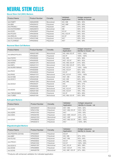### NEURAL STEM CELLS

#### **Neural Stem Cell (NSC) Markers**

| <b>Product Name</b> | <b>Product Number</b> | Clonality  | Validated<br>Application | Antigen sequence<br>identity to mouse - rat |
|---------------------|-----------------------|------------|--------------------------|---------------------------------------------|
| Anti-FABP7          | AMAb90595             | Monoclonal | IHC. WB                  | $89\% - 90\%$                               |
| Anti-BMI            | HPA030472             | Polyclonal | IHC, WB*                 | $95\% - 95\%$                               |
| Anti-PROML1         | HPA004922             | Polyclonal | $IHC*$                   | $57\% - 60\%$                               |
| Anti-EGFR/ERBB1     | AMAb90819             | Monoclonal | <b>WB</b>                | $90\% - 91\%$                               |
| Anti-EGR1           | HPA029937             | Polyclonal | ICC-IF                   | $93\% - 94\%$                               |
| Anti-PCGF5          | HPA038349             | Polyclonal | IHC, ICC-IF              | $95\% - 93\%$                               |
| Anti-REELIN         | HPA046512             | Polyclonal | ICC-IF                   | $90\% - 94\%$                               |
| Anti-SLC1A3/GLAST   | HPA037468             | Polyclonal | $IHC*$                   | $93\% - 93\%$                               |
| Anti-TLX/NR2E1      | HPA055642             | Polyclonal | IHC*                     | $99\% - 99\%$                               |

#### **Neuronal Stem Cell Markers**

| <b>Product Name</b> | <b>Product Number</b> | Clonality  | Validated<br>Application | Antigen sequence<br>identity to mouse - rat |
|---------------------|-----------------------|------------|--------------------------|---------------------------------------------|
| Anti-BRN2/POU3F2    | AMAb91406             | Monoclonal | IHC, WB, ICC-IF          | 100% - 100%                                 |
|                     | HPA056261             | Polyclonal | ICC-IF                   | 100% - 100%                                 |
| Anti-FGFR1          | HPA056402             | Polyclonal | IHC, WB                  | $94\% - 96\%$                               |
| Anti-FOXA2          | HPA050505             | Polyclonal | IHC*, ICC-IF             | $96\% - 82\%$                               |
| Anti-MAP2           | AMAb91375             | Monoclonal | IHC, WB, ICC-IF          | $91\% - 90\%$                               |
| Anti-NEFL           | AMAb91314             | Monoclonal | IHC, WB, ICC-IF          | $97\% - 99\%$                               |
| Anti-NURR1/NR4A2    | HPA000543             | Polyclonal | IHC, ICC-IF              | 100% - 100%                                 |
| Anti-PAX3           | HPA063659             | Polyclonal | IHC, ICC-IF              | $92\% - 92\%$                               |
|                     | HPA069000             | Polyclonal | ICC-IF                   | $98\% - 98\%$                               |
| Anti-PAX6           | AMAb91372             | Monoclonal | IHC, ICC-IF              | 100% - 100%                                 |
| Anti-S100B          | AMAb91038             | Monoclonal | IHC*, WB                 | 99% - 98%                                   |
| Anti-SOX11          | HPA000536             | Polyclonal | IHC, WB                  | $82\% - 82\%$                               |
|                     | AMAb91309             | Monoclonal | IHC, WB                  | 100% - 100%                                 |
| Anti-SOX21          | HPA048337             | Polyclonal | <b>IHC</b>               | $96\% - 37\%$                               |
|                     | HPA064084             | Polyclonal | ICC-IF                   | $96\% - 37\%$                               |
| Anti-SOX4           | AMAb91378             | Monoclonal | IHC, ICC-IF              | 78% - 78%                                   |
|                     | AMAb91380             | Monoclonal | IHC, ICC-IF              | 78% - 78%                                   |
| Anti-TBR2/EOMES     | HPA065458             | Polyclonal | ICC-IF                   | $96\% - 96\%$                               |
| Anti-TUBB3          | AMAb91394             | Monoclonal | IHC, WB, ICC-IF          | $93\% - 86\%$                               |

#### **Astroglial Markers**

| <b>Product Name</b> | <b>Product Number</b> | Clonality  | Validated<br>Application | Antigen sequence<br>identity to mouse - rat |
|---------------------|-----------------------|------------|--------------------------|---------------------------------------------|
|                     | AMAb90537             | Monoclonal | IHC*, WB                 | $93\% - 92\%$                               |
| Anti-AQP4           | HPA014784             | Polyclonal | IHC*, WB, ICC-IF         | $93\% - 92\%$                               |
| Anti-AQP9           | HPA074762             | Polyclonal | IHC*                     | $55\% - 55\%$                               |
| Anti-CD44           | HPA005785             | Polyclonal | IHC*, WB*, ICC-IF        | $51\% - 47\%$                               |
| Anti-GFAP           | AMAb91033             | Monoclonal | IHC*, WB*                | 98% - 100%                                  |
|                     | HPA056030             | Polyclonal | IHC*, WB, ICC-IF         | 98% - 100%                                  |
|                     | HPA063513             | Polyclonal | $IHC*$                   | 100% - 98%                                  |

#### **Oligodendroglial Markers**

| <b>Product Name</b> | <b>Product Number</b> | Clonality  | Validated<br>Application | Antigen sequence<br>identity to mouse - rat |
|---------------------|-----------------------|------------|--------------------------|---------------------------------------------|
| Anti-PDGFRA (CD140) | HPA004947             | Polyclonal | ICC-IF                   | $\overline{\phantom{a}}$                    |
| Anti-MBP            | HPA049222             | Polyclonal | IHC, WB                  | 97% - 97%                                   |
| Anti-OLIG2          | HPA003254             | Polyclonal | IHC*, WB                 | $93\% - 94\%$                               |
| Anti-PROX1          | HPA000842             | Polyclonal | ICC-IF                   | 100% - 93%                                  |
|                     | HPA001030             | Polyclonal | ICC-IF                   | $100\% - 99\%$                              |
| Anti-SOX10          | AMAb91297             | Monoclonal | IHC, ICC-IF              | $98\% - 98\%$                               |
| Anti-SOX8           | HPA058665             | Polyclonal | IHC*, ICC-IF             | 73% - 70%                                   |
| Anti-SOX9           | AMAb90795             | Monoclonal | IHC, WB*, ICC-IF         | $97\% - 96\%$                               |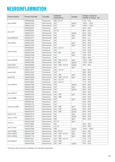### NEUROINFLAMMATION

| WB, ICC-IF<br>$41\% - 41\%$<br>HPA064436<br>Polyclonal<br>IHC*<br>IgG2a<br>100% - 100%<br>AMAb91634<br>Monoclonal<br>Anti-AGER<br>IHC*<br>Monoclonal<br>100% - 100%<br>AMAb91635<br>IgG1<br>IHC*<br>84% - 84%<br>HPA049234<br>Polyclonal<br>ICC-IF<br>86% - 83%<br>HPA062949<br>Polyclonal<br>Anti-AIF1<br><b>IHC</b><br>Monoclonal<br>IgG2b<br>84% - 84%<br>AMAb91671<br><b>IHC</b><br>IgG1<br>Monoclonal<br>84% - 84%<br>AMAb91672<br><b>WB</b><br>95% - n.d.<br>IgG1<br>Anti-AMIGO3<br>AMAb91677<br>Monoclonal<br><b>IHC</b><br>$84\% - 85\%$<br>HPA057499<br>Polyclonal<br><b>IHC</b><br>IgG1<br>Anti-ANO <sub>2</sub><br>AMAb91641<br>Monoclonal<br>$84\% - 84\%$ .<br><b>IHC</b><br>Monoclonal<br>IgG1<br>84% - 84%<br>AMAb91642<br>IHC*, ICC-IF<br>$51\% - 30\%$<br>HPA046404<br>Polyclonal<br>IHC*<br>75% - 83%<br>HPA051974<br>Polyclonal<br>Anti-CD163<br>IHC*,WB<br>IgG1<br>75% - 83%<br>AMAb91646<br>Monoclonal<br>IHC <sup>*</sup><br>AMAb91648<br>Monoclonal<br>IgG1<br>75% - 83%<br>IHC*<br>98% - 98%<br>HPA057100<br>Polyclonal<br>Anti-CRYAB<br>AMAb91661<br>Monoclonal<br>IHC*, WB, ICC-IF<br>lgG1<br>100% - 95%<br>IHC* WB<br>IgG2b<br>100% - 95%<br>AMAb91662<br>Monoclonal<br>Anti-CDH1<br>IgG2b<br>76% - 80%<br>AMAb90862<br>Monoclonal<br>IHC*, WB*, ICC-IF<br>IHC*<br>Anti-CXCL13<br>Monoclonal<br>IgG1<br>AMAb91629<br>$96\% - 96\%$<br>HPA017071<br>Polyclonal<br>IHC*, ICC-IF<br>IHC*<br>88% - 88%<br>HPA021945<br>Polyclonal<br>Anti-DYSF<br>IgG1<br>Monoclonal<br>IHC*, WB<br>88% - 88%<br>AMAb91667<br>$91\% - 91\%$<br>Anti-FUS<br>AMAb90549<br>Monoclonal<br>IHC*, WB*, ICC-IF<br>IgG1<br>88% - 86%<br>HPA013392<br>Polyclonal<br>IHC*, ICC-IF<br>IHC*, ICC-IF<br>71% - 70%<br>HPA015600<br>Polyclonal<br>IHC*<br>Monoclonal<br>IgG2b<br>$85\% - 85\%$<br>AMAb91664<br>Anti-GAP43<br>IHC*<br>Monoclonal<br>IgG1<br>$85\% - 85\%$<br>AMAb91665<br>IHC*<br>Monoclonal<br>IgG2a<br>$85\% - 85\%$<br>AMAb91666<br>IHC <sup>*</sup><br>$92\% - 92\%$<br>HPA029766<br>Polyclonal<br>Anti-GPR17<br>IHC*, WB<br>AMAb91624<br>Monoclonal<br>IgG1<br>$95\% - 95\%$<br>IHC*, WB*<br>63% - 63%<br>HPA003418<br>Polyclonal<br>Anti-GZMB<br>$IHC*$<br>IgG1<br>63% - 63%<br>AMAb91650<br>Monoclonal<br>$IHC*$<br>Polyclonal<br>54% - 69%<br>HPA050162<br>$\mathsf{IHC}^*$<br>$41\% - 83\%$<br>Polyclonal<br>HPA053176<br>Monoclonal<br>IHC*, WB<br>lgG1<br>50% - 90%<br>AMAb91673<br>Anti-HLA-DRA<br>Monoclonal<br>IHC*, WB<br>IgG2a<br>$50\% - 90\%$<br>AMAb91674<br>IHC*, WB<br>IgG2b<br>$50\% - 90\%$<br>AMAb91675<br>Monoclonal<br><b>IHC</b><br>IgG1<br>93% - 93%<br>Anti-IL17A<br>Monoclonal<br>AMAb91615<br><b>WB</b><br>IgG2b<br>AMAb91617<br>Monoclonal<br>$80\% - 84\%$<br>Anti-IL17RA<br>lgG1<br>AMAb91619<br>Monoclonal<br><b>WB</b><br>$80\% - 84\%$<br>Monoclonal<br>$ICC-IF$<br>IgG1<br>AMAb91684<br>Anti-IL7<br><b>IHC</b><br>46% - 46%<br>Polyclonal<br>HPA019590<br>$ICC-IF$<br>$90\% - 89\%$<br>HPA074961<br>Polyclonal<br>Anti-ITGA4<br><b>WB</b><br>IgG2b<br>100% - 100%<br>AMAb91699<br>Monoclonal<br>Monoclonal<br>IgG1<br>85% - 85%<br>Anti-ITGB8<br>AMAb91467<br>WB, ICC-IF<br>IgG1<br>83% - 79%<br>Anti-LAMC2<br>Monoclonal<br>IHC*, WB*, ICC-IF<br>AMAb91098<br>Anti-LAMA4<br>Monoclonal<br>IHC*, WB<br>IgG1<br>$86\% - 85\%$<br>AMAb91134<br>IHC*, WB*, ICC-IF<br>Polyclonal<br>73% - 77%<br>HPA014341<br>$61\% - 64\%$<br>Anti-MS4A1<br>Polyclonal<br>IHC*, WB*<br>HPA014391 | <b>Product Name</b> | <b>Product Number</b> | Clonality  | Validated<br>Applications | Isotype | Antigen sequence<br>identity to mouse - rat |
|----------------------------------------------------------------------------------------------------------------------------------------------------------------------------------------------------------------------------------------------------------------------------------------------------------------------------------------------------------------------------------------------------------------------------------------------------------------------------------------------------------------------------------------------------------------------------------------------------------------------------------------------------------------------------------------------------------------------------------------------------------------------------------------------------------------------------------------------------------------------------------------------------------------------------------------------------------------------------------------------------------------------------------------------------------------------------------------------------------------------------------------------------------------------------------------------------------------------------------------------------------------------------------------------------------------------------------------------------------------------------------------------------------------------------------------------------------------------------------------------------------------------------------------------------------------------------------------------------------------------------------------------------------------------------------------------------------------------------------------------------------------------------------------------------------------------------------------------------------------------------------------------------------------------------------------------------------------------------------------------------------------------------------------------------------------------------------------------------------------------------------------------------------------------------------------------------------------------------------------------------------------------------------------------------------------------------------------------------------------------------------------------------------------------------------------------------------------------------------------------------------------------------------------------------------------------------------------------------------------------------------------------------------------------------------------------------------------------------------------------------------------------------------------------------------------------------------------------------------------------------------------------------------------------------------------------------------------------------------------------------------------------------------------------------------------------------------------------------------------------------------------------------------------------------------------------------------------------------------------------------------------------------------------------------------------------------------------------------------------------------------------------------------------------------|---------------------|-----------------------|------------|---------------------------|---------|---------------------------------------------|
|                                                                                                                                                                                                                                                                                                                                                                                                                                                                                                                                                                                                                                                                                                                                                                                                                                                                                                                                                                                                                                                                                                                                                                                                                                                                                                                                                                                                                                                                                                                                                                                                                                                                                                                                                                                                                                                                                                                                                                                                                                                                                                                                                                                                                                                                                                                                                                                                                                                                                                                                                                                                                                                                                                                                                                                                                                                                                                                                                                                                                                                                                                                                                                                                                                                                                                                                                                                                                            |                     |                       |            |                           |         |                                             |
|                                                                                                                                                                                                                                                                                                                                                                                                                                                                                                                                                                                                                                                                                                                                                                                                                                                                                                                                                                                                                                                                                                                                                                                                                                                                                                                                                                                                                                                                                                                                                                                                                                                                                                                                                                                                                                                                                                                                                                                                                                                                                                                                                                                                                                                                                                                                                                                                                                                                                                                                                                                                                                                                                                                                                                                                                                                                                                                                                                                                                                                                                                                                                                                                                                                                                                                                                                                                                            |                     |                       |            |                           |         |                                             |
|                                                                                                                                                                                                                                                                                                                                                                                                                                                                                                                                                                                                                                                                                                                                                                                                                                                                                                                                                                                                                                                                                                                                                                                                                                                                                                                                                                                                                                                                                                                                                                                                                                                                                                                                                                                                                                                                                                                                                                                                                                                                                                                                                                                                                                                                                                                                                                                                                                                                                                                                                                                                                                                                                                                                                                                                                                                                                                                                                                                                                                                                                                                                                                                                                                                                                                                                                                                                                            |                     |                       |            |                           |         |                                             |
|                                                                                                                                                                                                                                                                                                                                                                                                                                                                                                                                                                                                                                                                                                                                                                                                                                                                                                                                                                                                                                                                                                                                                                                                                                                                                                                                                                                                                                                                                                                                                                                                                                                                                                                                                                                                                                                                                                                                                                                                                                                                                                                                                                                                                                                                                                                                                                                                                                                                                                                                                                                                                                                                                                                                                                                                                                                                                                                                                                                                                                                                                                                                                                                                                                                                                                                                                                                                                            |                     |                       |            |                           |         |                                             |
|                                                                                                                                                                                                                                                                                                                                                                                                                                                                                                                                                                                                                                                                                                                                                                                                                                                                                                                                                                                                                                                                                                                                                                                                                                                                                                                                                                                                                                                                                                                                                                                                                                                                                                                                                                                                                                                                                                                                                                                                                                                                                                                                                                                                                                                                                                                                                                                                                                                                                                                                                                                                                                                                                                                                                                                                                                                                                                                                                                                                                                                                                                                                                                                                                                                                                                                                                                                                                            |                     |                       |            |                           |         |                                             |
|                                                                                                                                                                                                                                                                                                                                                                                                                                                                                                                                                                                                                                                                                                                                                                                                                                                                                                                                                                                                                                                                                                                                                                                                                                                                                                                                                                                                                                                                                                                                                                                                                                                                                                                                                                                                                                                                                                                                                                                                                                                                                                                                                                                                                                                                                                                                                                                                                                                                                                                                                                                                                                                                                                                                                                                                                                                                                                                                                                                                                                                                                                                                                                                                                                                                                                                                                                                                                            |                     |                       |            |                           |         |                                             |
|                                                                                                                                                                                                                                                                                                                                                                                                                                                                                                                                                                                                                                                                                                                                                                                                                                                                                                                                                                                                                                                                                                                                                                                                                                                                                                                                                                                                                                                                                                                                                                                                                                                                                                                                                                                                                                                                                                                                                                                                                                                                                                                                                                                                                                                                                                                                                                                                                                                                                                                                                                                                                                                                                                                                                                                                                                                                                                                                                                                                                                                                                                                                                                                                                                                                                                                                                                                                                            |                     |                       |            |                           |         |                                             |
|                                                                                                                                                                                                                                                                                                                                                                                                                                                                                                                                                                                                                                                                                                                                                                                                                                                                                                                                                                                                                                                                                                                                                                                                                                                                                                                                                                                                                                                                                                                                                                                                                                                                                                                                                                                                                                                                                                                                                                                                                                                                                                                                                                                                                                                                                                                                                                                                                                                                                                                                                                                                                                                                                                                                                                                                                                                                                                                                                                                                                                                                                                                                                                                                                                                                                                                                                                                                                            |                     |                       |            |                           |         |                                             |
|                                                                                                                                                                                                                                                                                                                                                                                                                                                                                                                                                                                                                                                                                                                                                                                                                                                                                                                                                                                                                                                                                                                                                                                                                                                                                                                                                                                                                                                                                                                                                                                                                                                                                                                                                                                                                                                                                                                                                                                                                                                                                                                                                                                                                                                                                                                                                                                                                                                                                                                                                                                                                                                                                                                                                                                                                                                                                                                                                                                                                                                                                                                                                                                                                                                                                                                                                                                                                            |                     |                       |            |                           |         |                                             |
|                                                                                                                                                                                                                                                                                                                                                                                                                                                                                                                                                                                                                                                                                                                                                                                                                                                                                                                                                                                                                                                                                                                                                                                                                                                                                                                                                                                                                                                                                                                                                                                                                                                                                                                                                                                                                                                                                                                                                                                                                                                                                                                                                                                                                                                                                                                                                                                                                                                                                                                                                                                                                                                                                                                                                                                                                                                                                                                                                                                                                                                                                                                                                                                                                                                                                                                                                                                                                            |                     |                       |            |                           |         |                                             |
|                                                                                                                                                                                                                                                                                                                                                                                                                                                                                                                                                                                                                                                                                                                                                                                                                                                                                                                                                                                                                                                                                                                                                                                                                                                                                                                                                                                                                                                                                                                                                                                                                                                                                                                                                                                                                                                                                                                                                                                                                                                                                                                                                                                                                                                                                                                                                                                                                                                                                                                                                                                                                                                                                                                                                                                                                                                                                                                                                                                                                                                                                                                                                                                                                                                                                                                                                                                                                            |                     |                       |            |                           |         |                                             |
|                                                                                                                                                                                                                                                                                                                                                                                                                                                                                                                                                                                                                                                                                                                                                                                                                                                                                                                                                                                                                                                                                                                                                                                                                                                                                                                                                                                                                                                                                                                                                                                                                                                                                                                                                                                                                                                                                                                                                                                                                                                                                                                                                                                                                                                                                                                                                                                                                                                                                                                                                                                                                                                                                                                                                                                                                                                                                                                                                                                                                                                                                                                                                                                                                                                                                                                                                                                                                            |                     |                       |            |                           |         |                                             |
|                                                                                                                                                                                                                                                                                                                                                                                                                                                                                                                                                                                                                                                                                                                                                                                                                                                                                                                                                                                                                                                                                                                                                                                                                                                                                                                                                                                                                                                                                                                                                                                                                                                                                                                                                                                                                                                                                                                                                                                                                                                                                                                                                                                                                                                                                                                                                                                                                                                                                                                                                                                                                                                                                                                                                                                                                                                                                                                                                                                                                                                                                                                                                                                                                                                                                                                                                                                                                            |                     |                       |            |                           |         |                                             |
|                                                                                                                                                                                                                                                                                                                                                                                                                                                                                                                                                                                                                                                                                                                                                                                                                                                                                                                                                                                                                                                                                                                                                                                                                                                                                                                                                                                                                                                                                                                                                                                                                                                                                                                                                                                                                                                                                                                                                                                                                                                                                                                                                                                                                                                                                                                                                                                                                                                                                                                                                                                                                                                                                                                                                                                                                                                                                                                                                                                                                                                                                                                                                                                                                                                                                                                                                                                                                            |                     |                       |            |                           |         |                                             |
|                                                                                                                                                                                                                                                                                                                                                                                                                                                                                                                                                                                                                                                                                                                                                                                                                                                                                                                                                                                                                                                                                                                                                                                                                                                                                                                                                                                                                                                                                                                                                                                                                                                                                                                                                                                                                                                                                                                                                                                                                                                                                                                                                                                                                                                                                                                                                                                                                                                                                                                                                                                                                                                                                                                                                                                                                                                                                                                                                                                                                                                                                                                                                                                                                                                                                                                                                                                                                            |                     |                       |            |                           |         |                                             |
|                                                                                                                                                                                                                                                                                                                                                                                                                                                                                                                                                                                                                                                                                                                                                                                                                                                                                                                                                                                                                                                                                                                                                                                                                                                                                                                                                                                                                                                                                                                                                                                                                                                                                                                                                                                                                                                                                                                                                                                                                                                                                                                                                                                                                                                                                                                                                                                                                                                                                                                                                                                                                                                                                                                                                                                                                                                                                                                                                                                                                                                                                                                                                                                                                                                                                                                                                                                                                            |                     |                       |            |                           |         |                                             |
|                                                                                                                                                                                                                                                                                                                                                                                                                                                                                                                                                                                                                                                                                                                                                                                                                                                                                                                                                                                                                                                                                                                                                                                                                                                                                                                                                                                                                                                                                                                                                                                                                                                                                                                                                                                                                                                                                                                                                                                                                                                                                                                                                                                                                                                                                                                                                                                                                                                                                                                                                                                                                                                                                                                                                                                                                                                                                                                                                                                                                                                                                                                                                                                                                                                                                                                                                                                                                            |                     |                       |            |                           |         |                                             |
|                                                                                                                                                                                                                                                                                                                                                                                                                                                                                                                                                                                                                                                                                                                                                                                                                                                                                                                                                                                                                                                                                                                                                                                                                                                                                                                                                                                                                                                                                                                                                                                                                                                                                                                                                                                                                                                                                                                                                                                                                                                                                                                                                                                                                                                                                                                                                                                                                                                                                                                                                                                                                                                                                                                                                                                                                                                                                                                                                                                                                                                                                                                                                                                                                                                                                                                                                                                                                            |                     |                       |            |                           |         |                                             |
|                                                                                                                                                                                                                                                                                                                                                                                                                                                                                                                                                                                                                                                                                                                                                                                                                                                                                                                                                                                                                                                                                                                                                                                                                                                                                                                                                                                                                                                                                                                                                                                                                                                                                                                                                                                                                                                                                                                                                                                                                                                                                                                                                                                                                                                                                                                                                                                                                                                                                                                                                                                                                                                                                                                                                                                                                                                                                                                                                                                                                                                                                                                                                                                                                                                                                                                                                                                                                            |                     |                       |            |                           |         |                                             |
|                                                                                                                                                                                                                                                                                                                                                                                                                                                                                                                                                                                                                                                                                                                                                                                                                                                                                                                                                                                                                                                                                                                                                                                                                                                                                                                                                                                                                                                                                                                                                                                                                                                                                                                                                                                                                                                                                                                                                                                                                                                                                                                                                                                                                                                                                                                                                                                                                                                                                                                                                                                                                                                                                                                                                                                                                                                                                                                                                                                                                                                                                                                                                                                                                                                                                                                                                                                                                            |                     |                       |            |                           |         |                                             |
|                                                                                                                                                                                                                                                                                                                                                                                                                                                                                                                                                                                                                                                                                                                                                                                                                                                                                                                                                                                                                                                                                                                                                                                                                                                                                                                                                                                                                                                                                                                                                                                                                                                                                                                                                                                                                                                                                                                                                                                                                                                                                                                                                                                                                                                                                                                                                                                                                                                                                                                                                                                                                                                                                                                                                                                                                                                                                                                                                                                                                                                                                                                                                                                                                                                                                                                                                                                                                            |                     |                       |            |                           |         |                                             |
|                                                                                                                                                                                                                                                                                                                                                                                                                                                                                                                                                                                                                                                                                                                                                                                                                                                                                                                                                                                                                                                                                                                                                                                                                                                                                                                                                                                                                                                                                                                                                                                                                                                                                                                                                                                                                                                                                                                                                                                                                                                                                                                                                                                                                                                                                                                                                                                                                                                                                                                                                                                                                                                                                                                                                                                                                                                                                                                                                                                                                                                                                                                                                                                                                                                                                                                                                                                                                            |                     |                       |            |                           |         |                                             |
|                                                                                                                                                                                                                                                                                                                                                                                                                                                                                                                                                                                                                                                                                                                                                                                                                                                                                                                                                                                                                                                                                                                                                                                                                                                                                                                                                                                                                                                                                                                                                                                                                                                                                                                                                                                                                                                                                                                                                                                                                                                                                                                                                                                                                                                                                                                                                                                                                                                                                                                                                                                                                                                                                                                                                                                                                                                                                                                                                                                                                                                                                                                                                                                                                                                                                                                                                                                                                            |                     |                       |            |                           |         |                                             |
|                                                                                                                                                                                                                                                                                                                                                                                                                                                                                                                                                                                                                                                                                                                                                                                                                                                                                                                                                                                                                                                                                                                                                                                                                                                                                                                                                                                                                                                                                                                                                                                                                                                                                                                                                                                                                                                                                                                                                                                                                                                                                                                                                                                                                                                                                                                                                                                                                                                                                                                                                                                                                                                                                                                                                                                                                                                                                                                                                                                                                                                                                                                                                                                                                                                                                                                                                                                                                            |                     |                       |            |                           |         |                                             |
|                                                                                                                                                                                                                                                                                                                                                                                                                                                                                                                                                                                                                                                                                                                                                                                                                                                                                                                                                                                                                                                                                                                                                                                                                                                                                                                                                                                                                                                                                                                                                                                                                                                                                                                                                                                                                                                                                                                                                                                                                                                                                                                                                                                                                                                                                                                                                                                                                                                                                                                                                                                                                                                                                                                                                                                                                                                                                                                                                                                                                                                                                                                                                                                                                                                                                                                                                                                                                            |                     |                       |            |                           |         |                                             |
|                                                                                                                                                                                                                                                                                                                                                                                                                                                                                                                                                                                                                                                                                                                                                                                                                                                                                                                                                                                                                                                                                                                                                                                                                                                                                                                                                                                                                                                                                                                                                                                                                                                                                                                                                                                                                                                                                                                                                                                                                                                                                                                                                                                                                                                                                                                                                                                                                                                                                                                                                                                                                                                                                                                                                                                                                                                                                                                                                                                                                                                                                                                                                                                                                                                                                                                                                                                                                            |                     |                       |            |                           |         |                                             |
|                                                                                                                                                                                                                                                                                                                                                                                                                                                                                                                                                                                                                                                                                                                                                                                                                                                                                                                                                                                                                                                                                                                                                                                                                                                                                                                                                                                                                                                                                                                                                                                                                                                                                                                                                                                                                                                                                                                                                                                                                                                                                                                                                                                                                                                                                                                                                                                                                                                                                                                                                                                                                                                                                                                                                                                                                                                                                                                                                                                                                                                                                                                                                                                                                                                                                                                                                                                                                            |                     |                       |            |                           |         |                                             |
|                                                                                                                                                                                                                                                                                                                                                                                                                                                                                                                                                                                                                                                                                                                                                                                                                                                                                                                                                                                                                                                                                                                                                                                                                                                                                                                                                                                                                                                                                                                                                                                                                                                                                                                                                                                                                                                                                                                                                                                                                                                                                                                                                                                                                                                                                                                                                                                                                                                                                                                                                                                                                                                                                                                                                                                                                                                                                                                                                                                                                                                                                                                                                                                                                                                                                                                                                                                                                            |                     |                       |            |                           |         |                                             |
|                                                                                                                                                                                                                                                                                                                                                                                                                                                                                                                                                                                                                                                                                                                                                                                                                                                                                                                                                                                                                                                                                                                                                                                                                                                                                                                                                                                                                                                                                                                                                                                                                                                                                                                                                                                                                                                                                                                                                                                                                                                                                                                                                                                                                                                                                                                                                                                                                                                                                                                                                                                                                                                                                                                                                                                                                                                                                                                                                                                                                                                                                                                                                                                                                                                                                                                                                                                                                            |                     |                       |            |                           |         |                                             |
|                                                                                                                                                                                                                                                                                                                                                                                                                                                                                                                                                                                                                                                                                                                                                                                                                                                                                                                                                                                                                                                                                                                                                                                                                                                                                                                                                                                                                                                                                                                                                                                                                                                                                                                                                                                                                                                                                                                                                                                                                                                                                                                                                                                                                                                                                                                                                                                                                                                                                                                                                                                                                                                                                                                                                                                                                                                                                                                                                                                                                                                                                                                                                                                                                                                                                                                                                                                                                            |                     |                       |            |                           |         |                                             |
|                                                                                                                                                                                                                                                                                                                                                                                                                                                                                                                                                                                                                                                                                                                                                                                                                                                                                                                                                                                                                                                                                                                                                                                                                                                                                                                                                                                                                                                                                                                                                                                                                                                                                                                                                                                                                                                                                                                                                                                                                                                                                                                                                                                                                                                                                                                                                                                                                                                                                                                                                                                                                                                                                                                                                                                                                                                                                                                                                                                                                                                                                                                                                                                                                                                                                                                                                                                                                            |                     |                       |            |                           |         |                                             |
|                                                                                                                                                                                                                                                                                                                                                                                                                                                                                                                                                                                                                                                                                                                                                                                                                                                                                                                                                                                                                                                                                                                                                                                                                                                                                                                                                                                                                                                                                                                                                                                                                                                                                                                                                                                                                                                                                                                                                                                                                                                                                                                                                                                                                                                                                                                                                                                                                                                                                                                                                                                                                                                                                                                                                                                                                                                                                                                                                                                                                                                                                                                                                                                                                                                                                                                                                                                                                            |                     |                       |            |                           |         |                                             |
|                                                                                                                                                                                                                                                                                                                                                                                                                                                                                                                                                                                                                                                                                                                                                                                                                                                                                                                                                                                                                                                                                                                                                                                                                                                                                                                                                                                                                                                                                                                                                                                                                                                                                                                                                                                                                                                                                                                                                                                                                                                                                                                                                                                                                                                                                                                                                                                                                                                                                                                                                                                                                                                                                                                                                                                                                                                                                                                                                                                                                                                                                                                                                                                                                                                                                                                                                                                                                            |                     |                       |            |                           |         |                                             |
|                                                                                                                                                                                                                                                                                                                                                                                                                                                                                                                                                                                                                                                                                                                                                                                                                                                                                                                                                                                                                                                                                                                                                                                                                                                                                                                                                                                                                                                                                                                                                                                                                                                                                                                                                                                                                                                                                                                                                                                                                                                                                                                                                                                                                                                                                                                                                                                                                                                                                                                                                                                                                                                                                                                                                                                                                                                                                                                                                                                                                                                                                                                                                                                                                                                                                                                                                                                                                            |                     |                       |            |                           |         |                                             |
|                                                                                                                                                                                                                                                                                                                                                                                                                                                                                                                                                                                                                                                                                                                                                                                                                                                                                                                                                                                                                                                                                                                                                                                                                                                                                                                                                                                                                                                                                                                                                                                                                                                                                                                                                                                                                                                                                                                                                                                                                                                                                                                                                                                                                                                                                                                                                                                                                                                                                                                                                                                                                                                                                                                                                                                                                                                                                                                                                                                                                                                                                                                                                                                                                                                                                                                                                                                                                            |                     |                       |            |                           |         |                                             |
|                                                                                                                                                                                                                                                                                                                                                                                                                                                                                                                                                                                                                                                                                                                                                                                                                                                                                                                                                                                                                                                                                                                                                                                                                                                                                                                                                                                                                                                                                                                                                                                                                                                                                                                                                                                                                                                                                                                                                                                                                                                                                                                                                                                                                                                                                                                                                                                                                                                                                                                                                                                                                                                                                                                                                                                                                                                                                                                                                                                                                                                                                                                                                                                                                                                                                                                                                                                                                            |                     |                       |            |                           |         |                                             |
|                                                                                                                                                                                                                                                                                                                                                                                                                                                                                                                                                                                                                                                                                                                                                                                                                                                                                                                                                                                                                                                                                                                                                                                                                                                                                                                                                                                                                                                                                                                                                                                                                                                                                                                                                                                                                                                                                                                                                                                                                                                                                                                                                                                                                                                                                                                                                                                                                                                                                                                                                                                                                                                                                                                                                                                                                                                                                                                                                                                                                                                                                                                                                                                                                                                                                                                                                                                                                            |                     |                       |            |                           |         |                                             |
|                                                                                                                                                                                                                                                                                                                                                                                                                                                                                                                                                                                                                                                                                                                                                                                                                                                                                                                                                                                                                                                                                                                                                                                                                                                                                                                                                                                                                                                                                                                                                                                                                                                                                                                                                                                                                                                                                                                                                                                                                                                                                                                                                                                                                                                                                                                                                                                                                                                                                                                                                                                                                                                                                                                                                                                                                                                                                                                                                                                                                                                                                                                                                                                                                                                                                                                                                                                                                            |                     |                       |            |                           |         |                                             |
|                                                                                                                                                                                                                                                                                                                                                                                                                                                                                                                                                                                                                                                                                                                                                                                                                                                                                                                                                                                                                                                                                                                                                                                                                                                                                                                                                                                                                                                                                                                                                                                                                                                                                                                                                                                                                                                                                                                                                                                                                                                                                                                                                                                                                                                                                                                                                                                                                                                                                                                                                                                                                                                                                                                                                                                                                                                                                                                                                                                                                                                                                                                                                                                                                                                                                                                                                                                                                            |                     |                       |            |                           |         |                                             |
|                                                                                                                                                                                                                                                                                                                                                                                                                                                                                                                                                                                                                                                                                                                                                                                                                                                                                                                                                                                                                                                                                                                                                                                                                                                                                                                                                                                                                                                                                                                                                                                                                                                                                                                                                                                                                                                                                                                                                                                                                                                                                                                                                                                                                                                                                                                                                                                                                                                                                                                                                                                                                                                                                                                                                                                                                                                                                                                                                                                                                                                                                                                                                                                                                                                                                                                                                                                                                            |                     |                       |            |                           |         |                                             |
|                                                                                                                                                                                                                                                                                                                                                                                                                                                                                                                                                                                                                                                                                                                                                                                                                                                                                                                                                                                                                                                                                                                                                                                                                                                                                                                                                                                                                                                                                                                                                                                                                                                                                                                                                                                                                                                                                                                                                                                                                                                                                                                                                                                                                                                                                                                                                                                                                                                                                                                                                                                                                                                                                                                                                                                                                                                                                                                                                                                                                                                                                                                                                                                                                                                                                                                                                                                                                            |                     |                       |            |                           |         |                                             |
|                                                                                                                                                                                                                                                                                                                                                                                                                                                                                                                                                                                                                                                                                                                                                                                                                                                                                                                                                                                                                                                                                                                                                                                                                                                                                                                                                                                                                                                                                                                                                                                                                                                                                                                                                                                                                                                                                                                                                                                                                                                                                                                                                                                                                                                                                                                                                                                                                                                                                                                                                                                                                                                                                                                                                                                                                                                                                                                                                                                                                                                                                                                                                                                                                                                                                                                                                                                                                            |                     |                       |            |                           |         |                                             |
|                                                                                                                                                                                                                                                                                                                                                                                                                                                                                                                                                                                                                                                                                                                                                                                                                                                                                                                                                                                                                                                                                                                                                                                                                                                                                                                                                                                                                                                                                                                                                                                                                                                                                                                                                                                                                                                                                                                                                                                                                                                                                                                                                                                                                                                                                                                                                                                                                                                                                                                                                                                                                                                                                                                                                                                                                                                                                                                                                                                                                                                                                                                                                                                                                                                                                                                                                                                                                            |                     |                       |            |                           |         |                                             |
|                                                                                                                                                                                                                                                                                                                                                                                                                                                                                                                                                                                                                                                                                                                                                                                                                                                                                                                                                                                                                                                                                                                                                                                                                                                                                                                                                                                                                                                                                                                                                                                                                                                                                                                                                                                                                                                                                                                                                                                                                                                                                                                                                                                                                                                                                                                                                                                                                                                                                                                                                                                                                                                                                                                                                                                                                                                                                                                                                                                                                                                                                                                                                                                                                                                                                                                                                                                                                            |                     |                       |            |                           |         |                                             |
|                                                                                                                                                                                                                                                                                                                                                                                                                                                                                                                                                                                                                                                                                                                                                                                                                                                                                                                                                                                                                                                                                                                                                                                                                                                                                                                                                                                                                                                                                                                                                                                                                                                                                                                                                                                                                                                                                                                                                                                                                                                                                                                                                                                                                                                                                                                                                                                                                                                                                                                                                                                                                                                                                                                                                                                                                                                                                                                                                                                                                                                                                                                                                                                                                                                                                                                                                                                                                            |                     |                       |            |                           |         |                                             |
|                                                                                                                                                                                                                                                                                                                                                                                                                                                                                                                                                                                                                                                                                                                                                                                                                                                                                                                                                                                                                                                                                                                                                                                                                                                                                                                                                                                                                                                                                                                                                                                                                                                                                                                                                                                                                                                                                                                                                                                                                                                                                                                                                                                                                                                                                                                                                                                                                                                                                                                                                                                                                                                                                                                                                                                                                                                                                                                                                                                                                                                                                                                                                                                                                                                                                                                                                                                                                            |                     |                       |            |                           |         |                                             |
|                                                                                                                                                                                                                                                                                                                                                                                                                                                                                                                                                                                                                                                                                                                                                                                                                                                                                                                                                                                                                                                                                                                                                                                                                                                                                                                                                                                                                                                                                                                                                                                                                                                                                                                                                                                                                                                                                                                                                                                                                                                                                                                                                                                                                                                                                                                                                                                                                                                                                                                                                                                                                                                                                                                                                                                                                                                                                                                                                                                                                                                                                                                                                                                                                                                                                                                                                                                                                            |                     |                       |            |                           |         |                                             |
|                                                                                                                                                                                                                                                                                                                                                                                                                                                                                                                                                                                                                                                                                                                                                                                                                                                                                                                                                                                                                                                                                                                                                                                                                                                                                                                                                                                                                                                                                                                                                                                                                                                                                                                                                                                                                                                                                                                                                                                                                                                                                                                                                                                                                                                                                                                                                                                                                                                                                                                                                                                                                                                                                                                                                                                                                                                                                                                                                                                                                                                                                                                                                                                                                                                                                                                                                                                                                            |                     |                       |            |                           |         |                                             |
|                                                                                                                                                                                                                                                                                                                                                                                                                                                                                                                                                                                                                                                                                                                                                                                                                                                                                                                                                                                                                                                                                                                                                                                                                                                                                                                                                                                                                                                                                                                                                                                                                                                                                                                                                                                                                                                                                                                                                                                                                                                                                                                                                                                                                                                                                                                                                                                                                                                                                                                                                                                                                                                                                                                                                                                                                                                                                                                                                                                                                                                                                                                                                                                                                                                                                                                                                                                                                            |                     |                       |            |                           |         |                                             |
|                                                                                                                                                                                                                                                                                                                                                                                                                                                                                                                                                                                                                                                                                                                                                                                                                                                                                                                                                                                                                                                                                                                                                                                                                                                                                                                                                                                                                                                                                                                                                                                                                                                                                                                                                                                                                                                                                                                                                                                                                                                                                                                                                                                                                                                                                                                                                                                                                                                                                                                                                                                                                                                                                                                                                                                                                                                                                                                                                                                                                                                                                                                                                                                                                                                                                                                                                                                                                            |                     |                       |            |                           |         |                                             |
|                                                                                                                                                                                                                                                                                                                                                                                                                                                                                                                                                                                                                                                                                                                                                                                                                                                                                                                                                                                                                                                                                                                                                                                                                                                                                                                                                                                                                                                                                                                                                                                                                                                                                                                                                                                                                                                                                                                                                                                                                                                                                                                                                                                                                                                                                                                                                                                                                                                                                                                                                                                                                                                                                                                                                                                                                                                                                                                                                                                                                                                                                                                                                                                                                                                                                                                                                                                                                            |                     | AMAb91636             | Monoclonal | IHC*, WB                  | lgG2a   | 74% - 78%                                   |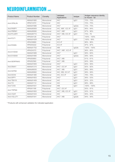### NEUROINFLAMMATION cont.

| <b>Product Name</b> | <b>Product Number</b> | Clonality  | Validated<br>Applications | Isotype | Antigen sequence identity<br>to mouse - rat |
|---------------------|-----------------------|------------|---------------------------|---------|---------------------------------------------|
|                     | AMAb91685             | Monoclonal | IHC*                      | IgG1    | 72% - 75%                                   |
| Anti-OPALIN         | HPA014372             | Polyclonal | <b>IHC</b>                |         | 72% - 75%                                   |
|                     | AMAb91686             | Monoclonal | IHC*                      | IgG2a   | $72\% - 75\%$                               |
| Anti-PARP1          | AMAb90959             | Monoclonal | IHC, WB*, ICC-IF          | IgG1    | $95\% - 94\%$                               |
| Anti-PBRM1          | AMAb90690             | Monoclonal | IHC*, WB*                 | IgG1    | $97\% - 96\%$                               |
| Anti-PLA2R1         | AMAb90772             | Monoclonal | IHC*, WB, ICC-IF          | lgG1    | $74\% - 76$                                 |
|                     | HPA004128             | Polyclonal | IHC*                      |         | 100% - 100%                                 |
| Anti-PLP1           | AMAb91639             | Monoclonal | $IHC*$                    | IgG1    | 100% - 99%                                  |
|                     | HPA039880             | Polyclonal | ICC-IF                    |         | $96\% - 96\%$                               |
| Anti-RGMA           | HPA044222             | Polyclonal | ICC-IF                    |         | $87\% - 87\%$                               |
|                     | AMAb91702             | Monoclonal | <b>WB</b>                 | IgG2b   | 100% - 100%                                 |
| Anti-S100A8         | HPA024372             | Polyclonal | IHC*, WB*, ICC-IF         |         | 56% - 60%                                   |
|                     | AMAb91689             | Monoclonal | IHC*                      | IgG1    | $56\% - 60\%$                               |
| Anti-S100A9         | AMAb91690             | Monoclonal | $IHC*$                    | IgG2a   | $59\% - 64\%$                               |
|                     | HPA000893             | Polyclonal | IHC*, WB                  |         | $61\% - 61\%$                               |
| Anti-SERPINA3       | HPA002560             | Polyclonal | IHC*, WB                  |         | $60\% - 59\%$                               |
|                     | AMAb91655             | Monoclonal | IHC*                      | lgG1    | $60\% - 56\%$                               |
| Anti-SNAI1          | AMAb91215             | Monoclonal | IHC*, ICC-IF              | lgG1    | $82\% - 82\%$                               |
| Anti-SATB2          | AMAb90635             | Monoclonal | IHC*, WB                  | IgG1    | 99% - 99%                                   |
|                     | AMAb90682             | Monoclonal | IHC, WB, ICC-IF           | IgG1    | 99% - 99%                                   |
| Anti-SOX4           | AMAb91380             | Monoclonal | IHC, ICC-IF               | IgG1    | 78% - 78%                                   |
| Anti-SPP1           | AMAb91653             | Monoclonal | $IHC*$                    | lgG1    | $56\% - 53\%$                               |
| Anti-TBX19          | AMAb91409             | Monoclonal | <b>IHC</b>                | lgG1    | $82\% - 32\%$                               |
| Anti-TH             | AMAb91112             | Monoclonal | <b>IHC</b>                | IgG1    | 88% - 88%                                   |
| Anti-TLR2           | AMAb91631             | Monoclonal | <b>WB</b>                 | IgG1    | 100% - 100%                                 |
| Anti-TRPM4          | HPA041169             | Polyclonal | IHC*, ICC-IF              |         | $93\% - 91\%$                               |
|                     | AMAb91693             | Monoclonal | IHC*, WB, ICC-IF          | IgG1    | $93\% - 91\%$                               |
| Anti-VGAT           | AMAb91043             | Monoclonal | <b>IHC</b>                | IgG1    | $95\% - 93\%$                               |
| Anti-VGLUT1         | AMAb91041             | Monoclonal | IHC*, WB                  | IgG2b   | $94\% - 94\%$                               |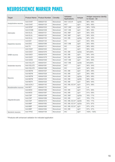# NEUROSCIENCE MARKER PANEL

| Target                | <b>Product Name</b> | <b>Product Number</b> | Clonality  | Validated<br>Applications | Isotype | Antigen sequence identity<br>to mouse - rat |
|-----------------------|---------------------|-----------------------|------------|---------------------------|---------|---------------------------------------------|
|                       | Anti-CHAT           | AMAb91130             | Monoclonal | IHC*, ICC-IF              | lgG2b   | $96\% - 96\%$                               |
| Acetylcholine neurons | Anti-CHAT           | AMAb91129             | Monoclonal | IHC*                      | IgG1    | $96\% - 96\%$                               |
|                       | Anti-GFAP           | AMAb91033             | Monoclonal | IHC*, WB*                 | IgG1    | 98% - 100%                                  |
|                       | Anti-S100B          | AMAb91038             | Monoclonal | IHC*, WB                  | IgG1    | 99% - 98%                                   |
| Astrocytes            | Anti-GLUL           | AMAb91101             | Monoclonal | IHC, WB*                  | IgG1    | $95\% - 92\%$                               |
|                       | Anti-GLUL           | AMAb91102             | Monoclonal | IHC, WB*                  | IgG1    | $95\% - 92\%$                               |
|                       | Anti-GLUL           | AMAb91103             | Monoclonal | IHC, WB                   | lgG2a   | $95\% - 92\%$                               |
|                       | Anti-DAT            | AMAb91125             | Monoclonal | <b>IHC</b>                | IgG1    | 85% - 85%                                   |
| Dopamine neurons      | Anti-DDC            | AMAb91089             | Monoclonal | IHC*, WB                  | IgG1    | $90\% - 88\%$                               |
|                       | Anti-TH             | AMAb91112             | Monoclonal | <b>IHC</b>                | IgG1    | 88% - 88%                                   |
|                       | Anti-VGAT           | AMAb91043             | Monoclonal | <b>IHC</b>                | IgG1    | $95\% - 93\%$                               |
|                       | Anti-GAD1           | AMAb91076             | Monoclonal | IHC, WB                   | IgG2a   | 94%v94%                                     |
| <b>GABA</b> neurons   | Anti-GAD1           | AMAb91078             | Monoclonal | IHC, WB                   | IgG1    | $94\% - 94\%$                               |
|                       | Anti-GAD1           | AMAb91079             | Monoclonal | IHC, WB                   | lgG2b   | $94\% - 94\%$                               |
|                       | Anti-GAD2           | AMAb91048             | Monoclonal | IHC*, WB                  | IgG1    | 84% - 88%                                   |
|                       | Anti-VGLUT1         | AMAb91041             | Monoclonal | IHC*, WB                  | lgG2b   | 94%v94%                                     |
| Glutamate neurons     | Anti-VGLUT2         | AMAb91081             | Monoclonal | IHC*                      | IgG1    | $94\% - 94\%$                               |
|                       | Anti-VGLUT2         | AMAb91086             | Monoclonal | <b>IHC</b>                | IgG1    | $94\% - 94\%$                               |
|                       | Anti-NEFM           | AMAb91027             | Monoclonal | IHC, WB                   | IgG1    | 98% - 98%                                   |
|                       | Anti-NEFM           | AMAb91028             | Monoclonal | IHC, WB                   | IgG1    | 98% - 98%                                   |
|                       | Anti-NEFM           | AMAb91029             | Monoclonal | IHC, WB                   | IgG2a   | 98% - 98%                                   |
| <b>Neurons</b>        | Anti-NEFM           | AMAb91030             | Monoclonal | IHC, WB                   | IgG2b   | 98% - 98%                                   |
|                       | Anti-NEFH           | AMAb91025             | Monoclonal | IHC, WB                   | IgG1    | 88% - 94%                                   |
|                       | Anti-UCHL1          | AMAb91145             | Monoclonal | IHC, WB, ICC-IF           | IgG1    | 97% - 98%                                   |
| Noradrenaline neurons | Anti-NET            | AMAb91116             | Monoclonal | <b>IHC</b>                | IgG1    | n.d.                                        |
|                       | Anti-MOG            | AMAb91066             | Monoclonal | IHC, WB                   | IgG1    | $91\% - 89\%$                               |
|                       | Anti-MOG            | AMAb91067             | Monoclonal | IHC, WB                   | IgG1    | $91\% - 89\%$                               |
|                       | Anti-CNP            | AMAb91068             | Monoclonal | IHC, WB*                  | IgG2a   | 76% - 77%                                   |
|                       | Anti-CNP            | AMAb91069             | Monoclonal | IHC, WB                   | IgG1    | 76% - 77%                                   |
| Oligodendrocytes      | Anti-CNP            | AMAb91072             | Monoclonal | IHC, WB, ICC-IF           | lgG2b   | 76% - 77%                                   |
|                       | Anti-MBP            | AMAb91062             | Monoclonal | IHC, WB, ICC-IF           | IgG2a   | 97% - 97%                                   |
|                       | Anti-MBP            | AMAb91063             | Monoclonal | IHC, WB, ICC-IF           | IgG1    | $97\% - 97\%$                               |
|                       | Anti-MBP            | AMAb91064             | Monoclonal | IHC, WB                   | IgG1    | $97\% - 97\%$                               |
| Serotonin neurons     | Anti-TPH2           | AMAb91108             | Monoclonal | <b>IHC</b>                | IgG1    | 100% - 100%                                 |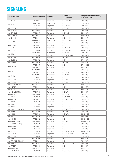# SIGNALING

| <b>Product Name</b>    | <b>Product Number</b> | Clonality  | Validated<br>Applications | Antigen sequence identity<br>to mouse - rat |
|------------------------|-----------------------|------------|---------------------------|---------------------------------------------|
| Anti-ATF2              | HPA022134             | Polyclonal | IHC, WB, ICC-IF           | 99% - 99%                                   |
|                        | AMAb90909             | Monoclonal | IHC*, ICC-IF              | $92\% - 92\%$                               |
| Anti-ATF3              | HPA001562             | Polyclonal | IHC, ICC-IF               | $92\% - 92\%$                               |
| Anti-ATP1B1            | HPA012911             | Polyclonal | IHC*, WB*                 | $93\% - 93\%$                               |
| Anti-ATP1B2            | HPA010698             | Polyclonal | IHC*                      | $96\% - 98\%$                               |
| Anti-CAMK2B            | HPA026307             | Polyclonal | IHC*, WB                  | $96\% - 96\%$                               |
| Anti-CAMK2D            | HPA026281             | Polyclonal | <b>IHC</b>                | 100% - 97%                                  |
| Anti-C-FOS             | HPA018531             | Polyclonal | IHC, ICC-IF               | $94\% - 94\%$                               |
|                        | AMAb91130             | Monoclonal | IHC*, ICC-IF              | $96\% - 96\%$                               |
| Anti-CHAT              | HPA048547             | Polyclonal | <b>IHC</b>                | $96\% - 96\%$                               |
| Anti-CHRM1             | HPA014101             | Polyclonal | IHC*                      | $98\% - 97\%$                               |
| Anti-CLIC4             | HPA008019             | Polyclonal | IHC*, WB*,                | 98% - 97%                                   |
| Anti-CREB1             | HPA019150             | Polyclonal | IHC, WB, ICC-IF           | 100% - 100%                                 |
|                        | AMAb91089             | Monoclonal | IHC*,WB                   | $90\% - 88\%$                               |
| Anti-DDC               | HPA017742             | Polyclonal | IHC*, WB, ICC-IF          | $90\% - 88\%$                               |
| Anti-SLC1A1            | HPA020086             | Polyclonal | IHC, WB                   | 77% - 79%                                   |
| Anti-SLC1A2            | HPA009172             | Polyclonal | IHC*                      | 87% - 89%                                   |
| Anti-GABRA3            | HPA000839             | Polyclonal | IHC, WB                   | $91\% - 93\%$                               |
|                        | HPA051297             | Polyclonal | <b>IHC</b>                | 97% - 100%                                  |
| Anti-GABRB1            | HPA035622             | Polyclonal | <b>IHC</b>                | $96\% - 94\%$                               |
|                        | AMAb91076             | Monoclonal | IHC, WB                   | $94\% - 94\%$                               |
| Anti-GAD1              | HPA058412             | Polyclonal | IHC*,WB                   | $94\% - 94\%$                               |
|                        | AMAb91048             | Monoclonal | IHC*,WB                   | 84% - 88%                                   |
| Anti-GAD2              | HPA044637             | Polyclonal | <b>IHC</b>                | 84% - 88%                                   |
| Anti-SLC6A1            | HPA013341             | Polyclonal | IHC, WB                   | 98% - 98%                                   |
| Anti-SLC6A11           | HPA037981             | Polyclonal | IHC, WB                   | 85% - 87%                                   |
| Anti-GLUR2 (AMPA2)     | HPA008441             | Polyclonal | IHC*                      | 100% - 100%                                 |
| Anti-HTR2A             | HPA014011             | Polyclonal | IHC*                      | $95\% - 97\%$                               |
| Anti-KCC4              | HPA041652             | Polyclonal | IHC, WB                   | 84% - 82%                                   |
| Anti-KCNJ5 (KIR3.4)    | HPA017353             | Polyclonal | IHC*, WB*                 | 89% - 89%                                   |
| Anti-KIF11             | HPA010568             | Polyclonal | IHC*, WB                  | 88% - 83%                                   |
| Anti-KIF17             | HPA032085             | Polyclonal | IHC*, ICC-IF              | 85% - 82%                                   |
| Anti-KIF18A            | HPA039312             | Polyclonal | IHC, WB, ICC-IF           | $80\% - 82\%$                               |
| Anti-KIF1C             | HPA024602             | Polyclonal | IHC, WB                   | $81\% - 83\%$                               |
| Anti-KIF21B            | HPA027249             | Polyclonal | <b>IHC</b>                | $91\% - 93\%$                               |
| Anti-KIF26B            | HPA028562             | Polyclonal | IHC, ICC-IF               | 88% - 80%                                   |
| Anti-KIF4A (KIF4A & B) | HPA034745             | Polyclonal | IHC, WB, ICC-IF           | 64% - 63%                                   |
| Anti-KIF5A             | HPA004469             | Polyclonal | IHC, WB                   | $91\% - 88\%$                               |
| Anti-KIF5C             | HPA035210             | Polyclonal | IHC*,WB                   | 100% - 100%                                 |
| Anti-KIF7              | HPA043145             | Polyclonal | <b>IHC</b>                | 69% - 69%                                   |
| Anti-KIFAP3            | HPA023742             | Polyclonal | <b>IHC</b>                | 100% - 100%                                 |
| Anti-MAPK1 (ERK)       | HPA030069             | Polyclonal | IHC, WB                   | 100% - 100%                                 |
| Anti-MAPK3 (ERK1)      | HPA005700             | Polyclonal | IHC, WB                   | 98% - 98%                                   |
| Anti-MGLUR1            | HPA015701             | Polyclonal | <b>IHC</b>                | $80\% - 80\%$                               |
| Anti-MGLUR8            | HPA051481             | Polyclonal | <b>IHC</b>                | $95\% - 90\%$                               |
| Anti-NCS1              | HPA019713             | Polyclonal | IHC*, WB*, ICC-IF         | 100% - 100%                                 |
| Anti-PRKCA             | HPA006563             | Polyclonal | IHC, WB*, ICC-IF          | 99% - 99%                                   |
| Anti-PRKCH             | HPA053709             | Polyclonal | IHC, ICC-IF               | $97\% - 64\%$                               |
| Anti-PNMT              | HPA051005             | Polyclonal | IHC*                      | 89% - 92%                                   |
| Anti-PRKACB (PKACB)    | HPA029754             | Polyclonal | <b>IHC</b>                | 73% - 76%                                   |
| Anti-PRKCZ             | HPA021851             | Polyclonal | IHC*, WB, ICC-IF          | $94\% - 94\%$                               |
| Anti-RAB3A             | HPA003160             | Polyclonal | <b>IHC</b>                | 99% - 99%                                   |
| Anti-RAP1GAP           | HPA001922             | Polyclonal | <b>IHC</b>                | $92\% - 91\%$                               |
| Anti-RAP1GAP2          | HPA022896             | Polyclonal | IHC, WB, ICC-IF           | $94\% - 95\%$                               |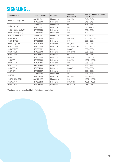### SIGNALING COnt.

| <b>Product Name</b>   | <b>Product Number</b> | Clonality  | Validated<br>Applications | Antigen sequence identity to<br>mouse - rat |
|-----------------------|-----------------------|------------|---------------------------|---------------------------------------------|
|                       | AMAb91041             | Monoclonal | IHC*, WB                  | $94\% - 94\%$                               |
| Anti-SLC17A7 (VGLUT1) | HPA063679             | Polyclonal | IHC*                      | $94\% - 94\%$                               |
| Anti-SLC22A2          | AMAb90792             | Monoclonal | $\mathsf{IHC}^*$          | 84% - 77%                                   |
|                       | HPA008567             | Polyclonal | IHC*                      | 84% - 77%                                   |
| Anti-SLC32A1 (VGAT)   | HPA058859             | Polyclonal | IHC*                      | $95\% - 93\%$                               |
| Anti-SLC6A2 (NET)     | AMAb91116             | Monoclonal | <b>IHC</b>                | n.d.                                        |
| Anti-SLC6A3 (DAT)     | AMAb91125             | Monoclonal | <b>IHC</b>                | 85% - 85%                                   |
| Anti-SNAP25           | HPA001830             | Polyclonal | IHC*, WB*                 | 100% - 100%                                 |
| Anti-SNAP29           | HPA031823             | Polyclonal | <b>IHC</b>                | 89% - 92%                                   |
| Anti-SST (SOM)        | HPA019472             | Polyclonal | IHC*,WB                   | 98% - 98%                                   |
| Anti-STXBP1           | HPA008209             | Polyclonal | IHC*, WB, ICC-IF          | 100% - 100%                                 |
| Anti-STXBP6           | HPA003552             | Polyclonal | IHC, WB*                  | 99% - 99%                                   |
| Anti-SYNGR1           | HPA029673             | Polyclonal | IHC, ICC-IF               | $90\% - 88\%$                               |
| Anti-SYNPR            | HPA061671             | Polyclonal | IHC*                      | $97\% - 97\%$                               |
| Anti-SYP              | HPA002858             | Polyclonal | IHC*, WB                  | 83% - 83%                                   |
| Anti-SYT1             | HPA008394             | Polyclonal | IHC*, WB*                 | 100% - 100%                                 |
| Anti-SYT12            | HPA011006             | Polyclonal | <b>IHC</b>                | $96\% - 98\%$                               |
| Anti-SYT13            | HPA046224             | Polyclonal | <b>IHC</b>                | $96\% - 93\%$                               |
| Anti-SYT16            | HPA004199             | Polyclonal | IHC, WB*                  | $95\% - 95\%$                               |
| Anti-TGFA             | HPA042297             | Polyclonal | <b>IHC</b>                | $93\% - 93\%$                               |
|                       | AMAb91112             | Monoclonal | <b>IHC</b>                | 88% - 88%                                   |
| Anti-TH               | HPA061003             | Polyclonal | IHC*, WB                  | 88% - 88%                                   |
| Anti-TPH2 (NTPH)      | AMAb91108             | Monoclonal | <b>IHC</b>                | 100% - 100%                                 |
| Anti-VAMP4            | HPA050418             | Polyclonal | IHC*, ICC-IF              | 100% - 100%                                 |
| Anti-VAMP7            | HPA036733             | Polyclonal | IHC, ICC-IF               | $98\% - 93\%$                               |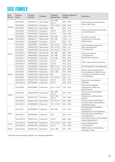# SOX FAMILY

| SOX<br>Group      | Product<br>Name | Product<br>Number | Clonality  | Validated<br>Applications | Antigen sequence<br>identity | Involved in                                                                |
|-------------------|-----------------|-------------------|------------|---------------------------|------------------------------|----------------------------------------------------------------------------|
|                   | Anti-SOX2       | AMAb91307         | Monoclonal | IHC, WB*,<br>ICC-IF       | 99% - 99%                    | Early embryonic development,                                               |
|                   | Anti-SOX2       | HPA045725         | Polyclonal | WB*, ICC-IF               | 99% - 99%                    | Neural stem cells                                                          |
| SOXB1             | Anti-SOX3       | AMAb91312         | Monoclonal | <b>WB</b>                 | $82\% - 31\%$                |                                                                            |
|                   | Anti-SOX3       | HPA054720         | Polyclonal | <b>ICC-IF</b>             | $93\% - 41\%$                | Early neural development. Male<br>sex development.                         |
|                   | Anti-SOX3       | HPA075003         | Polyclonal | ICC-IF                    | 76% - 36%                    |                                                                            |
|                   | Anti-SOX21      | AMAb91309         | Monoclonal | IHC, WB                   | 100% - n.d.                  | Immature neurons.                                                          |
| SOXB <sub>2</sub> | Anti-SOX21      | AMAb91311         | Monoclonal | IHC, WB                   | 100% - n.d.                  | Progression of neuronal                                                    |
|                   | Anti-SOX21      | HPA064084         | Polyclonal | <b>ICC-IF</b>             | $96\% - 37\%$                | differentiation.                                                           |
|                   | Anti-SOX4       | HPA029901         | Polyclonal | IHC, ICC-IF               | 100% - 39%                   | Neural lineage progression.                                                |
|                   | Anti-SOX4       | AMAb91378         | Monoclonal | IHC, ICC-IF               | 78% - n.d.                   | Bone development.                                                          |
|                   | Anti-SOX4       | AMAb91380         | Monoclonal | IHC, ICC-IF               | 78% - n.d.                   | Tumorigenesis.                                                             |
| SOXC              | Anti-SOX11      | AMAb90501         | Monoclonal | IHC, WB*                  | 82% - 82%                    | CNS development.                                                           |
|                   | Anti-SOX11      | AMAb90502         | Monoclonal | IHC, WB                   | 82% - 82%                    | Tumorigenesis.                                                             |
|                   | Anti-SOX11      | HPA000536         | Polyclonal | IHC, WB                   | $82\% - 82\%$                | Mantle cell lymphoma.                                                      |
|                   | Anti-SOX12      | HPA055052         | Polyclonal | <b>ICC-IF</b>             | $96\% - 96\%$                |                                                                            |
|                   | Anti-SOX12      | HPA061627         | Polyclonal | ICC-IF                    | $91\% - 91\%$                | CNS, male and female tissues.                                              |
|                   | Anti-SOX5       | HPA060499         | Polyclonal | WB, ICC-IF                | $91\% - 88\%$                | Chondrogenesis. Tumorigenesis.                                             |
|                   | Anti-SOX6       | HPA001923         | Polyclonal | IHC, ICC-IF               | $96\% - 96\%$                | Neural system development.                                                 |
|                   | Anti-SOX6       | HPA003908         | Polyclonal | IHC*, WB*                 | $97\% - 95\%$                | Chondrogenesis. Maintenance                                                |
| SOXD              | Anti-SOX6       | AMAb91382         | Monoclonal | <b>WB</b>                 | 84% - n.d.                   | of cardiac and skeletal muscle.                                            |
|                   | Anti-SOX6       | AMAb91383         | Monoclonal | IHC, ICC-IF               | $84\%$ - n.d.                | Tumorigenesis.                                                             |
|                   | Anti-SOX13      | HPA051790         | Polyclonal | ICC-IF                    | 87% - 87%                    | Embryonic development.                                                     |
|                   | Anti-SOX13      | HPA054843         | Polyclonal | ICC-IF                    | $93\% - 87\%$                | Diabetes.                                                                  |
|                   | Anti-SOX8       | HPA058665         | Polyclonal | IHC*, ICC-IF              | 73% - 70%                    | CNS, limb and facial<br>development. Male sex<br>determination.            |
| SOXE              | Anti-SOX9       | AMAb90795         | Monoclonal | IHC, WB*,<br>ICC-IF       | $97\% - 96\%$                | Neural crest development,<br>gliogenesis.                                  |
|                   | Anti-SOX9       | HPA001758         | Polyclonal | IHC*, WB,<br>ICC-IF       | $97\% - 96\%$                | Chondrocyte differentiation.<br>Glioma.                                    |
|                   | Anti-SOX10      | AMAb91297         | Monoclonal | IHC, ICC-IF               | 98% - 98%                    | Neural crest and peripheral                                                |
|                   | Anti-SOX10      | HPA068898         | Polyclonal | IHC*, ICC-IF              | 98% - 98%                    | nervous system development.<br>Oligodendrocytes.                           |
| <b>SOXF</b>       | Anti-SOX7       | HPA009065         | Polyclonal | IHC, WB                   | $91\% - 91\%$                | Hematopoietic/endothelial<br>development.<br>Suppression of tumorigenesis. |
|                   | Anti-SOX17      | HPA068399         | Polyclonal | IHC*                      | 89% - 87%                    | Gut and heart development.<br>Tumorigenesis.                               |
|                   | Anti-SOX18      | HPA073703         | Polyclonal | ICC-IF                    | 89% - 89%                    | Hair, blood vessel, and lymphatic<br>vessel development.                   |
| <b>SOXG</b>       | Anti-SOX15      | HPA067196         | Polyclonal | IHC*, ICC-IF              | 52% - 52%                    | Muscle differentiation.                                                    |
|                   | Anti-SOX15      | HPA074049         | Polyclonal | ICC-IF                    | 71% - 36%                    | Tumorigenesis.                                                             |
| <b>SOXH</b>       | Anti-SOX30      | HPA006159         | Polyclonal | IHC*, WB*                 | 68% - 70%                    | Differentiation of developing<br>male germ cells.                          |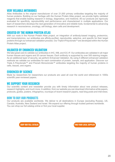### VERY RELIABLE ANTIBODIES

Atlas Antibodies is the original manufacturer of over 21,000 primary antibodies targeting the majority of human proteins. Building on our heritage with the Human Protein Atlas project, we provide highly validated reagents that enable leading research in biology, diagnostics, and medicine. All our products are rigorously evaluated for specificity, reproducibility and performance and characterized in multiple applications. Our team of researchers develops the next generation of innovative and reliable tools, fundamental to advancing research in neuroscience, oncology, cell biology, stem cells and development.

### CREATED BY THE HUMAN PROTEIN ATLAS

With our roots in the Human Protein Atlas project, an integration of antibody-based imaging, proteomics, and transcriptomics, our antibodies are affinity-purified, reproducible, selective, and specific for their target proteins through our enhanced validation process. Our Triple A Polyclonals™ are developed within the Human Protein Atlas project.

### VALIDATED BY ENHANCED VALIDATION

We take great care to validate our antibodies in IHC, WB, and ICC-IF. Our antibodies are validated in all major human tissues and organs and 20 cancer tissues. Each antibody is supported by over 500 staining images. As an additional layer of security, we perform Enhanced Validation. By using 5 different enhanced validation methods we validate our antibodies for each combination of protein, sample, and application. Discover our Triple A Polyclonals™ and PrecisA Monoclonals™ antibodies targeting the majority of human proteins in cells, tissues, and organs.

### EVIDENCED BY SCIENCE

Made by researchers for researchers our products are used all over the world and referenced in 1000s scientific peer-reviewed papers.

### WE SUPPORT YOUR RESEARCH

Our scientific content and newsletter provide you with timely information about new product releases, research highlights, and much more. In addition, from our website you can download informative white papers, protocols, guides, posters, infographics, roundups of recent research papers, read blog posts and interviews.

### HOW TO BUY OUR PRODUCTS

Our products are available worldwide. We deliver to all destinations in Europe (excluding Russia), US, Canada, Australia, New Zealand and Israel. We expand our offering through trusted partners worldwide. You can shop our full catalog online or find your local supplier.

[SHOP OUR FULL CATALOG](https://www.atlasantibodies.com/primary-antibodies/) **FIND YOUR COLL** SUPPLIER